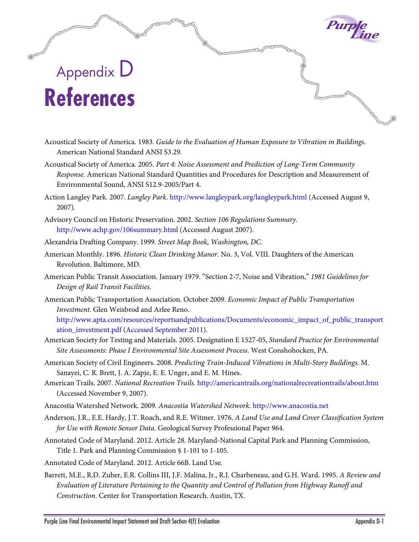## Appendix D **References**

- Acoustical Society of America. 1983. *Guide to the Evaluation of Human Exposure to Vibration in Buildings*. American National Standard ANSI S3.29.
- Acoustical Society of America. 2005. *Part 4: Noise Assessment and Prediction of Long-Term Community Response.* American National Standard Quantities and Procedures for Description and Measurement of Environmental Sound, ANSI S12.9-2005/Part 4.
- Action Langley Park. 2007. *Langley Park*. http://www.langleypark.org/langleypark.html (Accessed August 9, 2007).
- Advisory Council on Historic Preservation. 2002. *Section 106 Regulations Summary.*  http://www.achp.gov/106summary.html (Accessed August 2007).
- Alexandria Drafting Company. 1999. *Street Map Book, Washington, DC.*
- American Monthly. 1896. *Historic Clean Drinking Manor.* No. 3, Vol. VIII. Daughters of the American Revolution. Baltimore, MD.
- American Public Transit Association. January 1979. "Section 2-7, Noise and Vibration," *1981 Guidelines for Design of Rail Transit Facilities*.
- American Public Transportation Association. October 2009. *Economic Impact of Public Transportation Investment*. Glen Weisbrod and Arlee Reno.

[http://www.apta.com/resources/reportsandpublications/Documents/economic\\_impact\\_of\\_public\\_transport](http://www.apta.com/resources/reportsandpublications/Documents/economic_impact_of_public_transportation_investment.pdf%20(Accessed%20September%202011) [ation\\_investment.pdf \(Accessed September 2011\)](http://www.apta.com/resources/reportsandpublications/Documents/economic_impact_of_public_transportation_investment.pdf%20(Accessed%20September%202011).

- American Society for Testing and Materials. 2005. Designation E 1527-05, *Standard Practice for Environmental Site Assessments: Phase I Environmental Site Assessment Process*. West Conshohocken, PA.
- American Society of Civil Engineers. 2008. *Predicting Train-Induced Vibrations in Multi-Story Buildings*. M. Sanayei, C. R. Brett, J. A. Zapje, E. E. Unger, and E. M. Hines.
- American Trails. 2007. *National Recreation Trails.* http://americantrails.org/nationalrecreationtrails/about.htm (Accessed November 9, 2007).
- Anacostia Watershed Network. 2009. *Anacostia Watershed Network*. [http://www.anacostia.net](http://www.anacostia.net/)
- Anderson, J.R., E.E. Hardy, J.T. Roach, and R.E. Witmer. 1976. *A Land Use and Land Cover Classification System for Use with Remote Sensor Data*. Geological Survey Professional Paper 964.
- Annotated Code of Maryland. 2012. Article 28. Maryland-National Capital Park and Planning Commission, Title 1. Park and Planning Commission § 1-101 to 1-105.

Annotated Code of Maryland. 2012. Article 66B. Land Use.

Barrett, M.E., R.D. Zuber, E.R. Collins III, J.F. Malina, Jr., R.J. Charbeneau, and G.H. Ward. 1995*. A Review and Evaluation of Literature Pertaining to the Quantity and Control of Pollution from Highway Runoff and Construction*. Center for Transportation Research. Austin, TX.

Purple<br>Line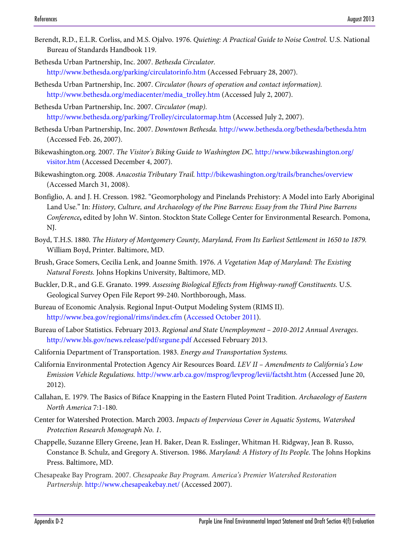- Berendt, R.D., E.L.R. Corliss, and M.S. Ojalvo. 1976. *Quieting: A Practical Guide to Noise Control.* U.S. National Bureau of Standards Handbook 119.
- Bethesda Urban Partnership, Inc. 2007. *Bethesda Circulator.*  http://www.bethesda.org/parking/circulatorinfo.htm (Accessed February 28, 2007).
- Bethesda Urban Partnership, Inc. 2007. *Circulator (hours of operation and contact information).*  http://www.bethesda.org/mediacenter/media\_trolley.htm (Accessed July 2, 2007).
- Bethesda Urban Partnership, Inc. 2007. *Circulator (map).*  http://www.bethesda.org/parking/Trolley/circulatormap.htm (Accessed July 2, 2007).
- Bethesda Urban Partnership, Inc. 2007. *Downtown Bethesda.* http://www.bethesda.org/bethesda/bethesda.htm (Accessed Feb. 26, 2007).
- Bikewashington.org. 2007. *The Visitor's Biking Guide to Washington DC*. http://www.bikewashington.org/ visitor.htm (Accessed December 4, 2007).
- Bikewashington.org. 2008. *Anacostia Tributary Trail.* <http://bikewashington.org/trails/branches/overview> (Accessed March 31, 2008).
- Bonfiglio, A. and J. H. Cresson. 1982. "Geomorphology and Pinelands Prehistory: A Model into Early Aboriginal Land Use." In: *History, Culture, and Archaeology of the Pine Barrens: Essay from the Third Pine Barrens Conference***,** edited by John W. Sinton. Stockton State College Center for Environmental Research. Pomona, NJ.
- Boyd, T.H.S. 1880. *The History of Montgomery County, Maryland, From Its Earliest Settlement in 1650 to 1879.*  William Boyd, Printer. Baltimore, MD.
- Brush, Grace Somers, Cecilia Lenk, and Joanne Smith. 1976. *A Vegetation Map of Maryland: The Existing Natural Forests.* Johns Hopkins University, Baltimore, MD.
- Buckler, D.R., and G.E. Granato. 1999. *Assessing Biological Effects from Highway-runoff Constituents.* U.S. Geological Survey Open File Report 99-240. Northborough, Mass.
- Bureau of Economic Analysis. Regional Input-Output Modeling System (RIMS II). [http://www.bea.gov/regional/rims/index.cfm \(Accessed October 2011\)](http://www.bea.gov/regional/rims/index.cfm%20(Accessed%20October%202011).
- Bureau of Labor Statistics. February 2013. *Regional and State Unemployment 2010-2012 Annual Averages*. <http://www.bls.gov/news.release/pdf/srgune.pdf> Accessed February 2013.
- California Department of Transportation. 1983. *Energy and Transportation Systems.*
- California Environmental Protection Agency Air Resources Board. *LEV II Amendments to California's Low Emission Vehicle Regulations.* http://www.arb.ca.gov/msprog/levprog/levii/factsht.htm (Accessed June 20, 2012).
- Callahan, E. 1979. The Basics of Biface Knapping in the Eastern Fluted Point Tradition. *Archaeology of Eastern North America* 7:1-180.
- Center for Watershed Protection. March 2003. *Impacts of Impervious Cover in Aquatic Systems, Watershed Protection Research Monograph No. 1*.
- Chappelle, Suzanne Ellery Greene, Jean H. Baker, Dean R. Esslinger, Whitman H. Ridgway, Jean B. Russo, Constance B. Schulz, and Gregory A. Stiverson. 1986. *Maryland: A History of Its People*. The Johns Hopkins Press. Baltimore, MD.
- Chesapeake Bay Program. 2007. *Chesapeake Bay Program. America's Premier Watershed Restoration Partnership.* <http://www.chesapeakebay.net/> (Accessed 2007).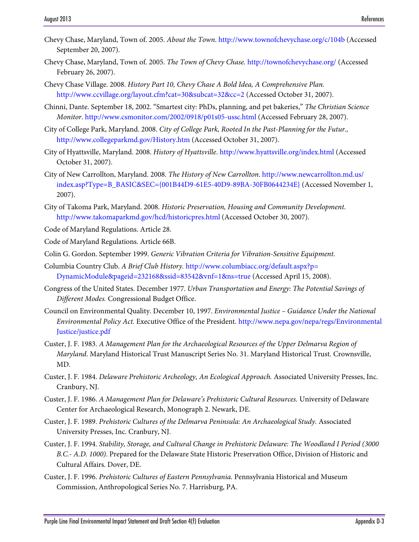- Chevy Chase, Maryland, Town of. 2005. *About the Town*.<http://www.townofchevychase.org/c/104b> (Accessed September 20, 2007).
- Chevy Chase, Maryland, Town of. 2005. *The Town of Chevy Chase.* <http://townofchevychase.org/> (Accessed February 26, 2007).
- Chevy Chase Village. 2008. *History Part 10, Chevy Chase A Bold Idea, A Comprehensive Plan.*  http://www.ccvillage.org/layout.cfm?cat=30&subcat=32&cc=2 (Accessed October 31, 2007).
- Chinni, Dante. September 18, 2002. "Smartest city: PhDs, planning, and pet bakeries," *The Christian Science Monitor*. http://www.csmonitor.com/2002/0918/p01s05-ussc.html (Accessed February 28, 2007).
- City of College Park, Maryland. 2008. *City of College Park, Rooted In the Past-Planning for the Futur.,*  http://www.collegeparkmd.gov/History.htm (Accessed October 31, 2007).
- City of Hyattsville, Maryland. 2008. *History of Hyattsville*.<http://www.hyattsville.org/index.html> (Accessed October 31, 2007).
- City of New Carrollton, Maryland. 2008. *The History of New Carrollton*. http://www.newcarrollton.md.us/ index.asp?Type=B\_BASIC&SEC={001B44D9-61E5-40D9-89BA-30FB0644234E} (Accessed November 1, 2007).
- City of Takoma Park, Maryland. 2008. *Historic Preservation, Housing and Community Development*. http://www.takomaparkmd.gov/hcd/historicpres.html (Accessed October 30, 2007).

Code of Maryland Regulations. Article 28.

- Code of Maryland Regulations. Article 66B.
- Colin G. Gordon. September 1999. *Generic Vibration Criteria for Vibration-Sensitive Equipment*.
- Columbia Country Club. *A Brief Club History.* http://www.columbiacc.org/default.aspx?p= DynamicModule&pageid=232168&ssid=83542&vnf=1&ns=true (Accessed April 15, 2008).
- Congress of the United States. December 1977. *Urban Transportation and Energy: The Potential Savings of Different Modes.* Congressional Budget Office.
- Council on Environmental Quality. December 10, 1997. *Environmental Justice Guidance Under the National Environmental Policy Act.* Executive Office of the President. http://www.nepa.gov/nepa/regs/Environmental Justice/justice.pdf
- Custer, J. F. 1983. *A Management Plan for the Archaeological Resources of the Upper Delmarva Region of Maryland*. Maryland Historical Trust Manuscript Series No. 31. Maryland Historical Trust. Crownsville, MD.
- Custer, J. F. 1984. *Delaware Prehistoric Archeology, An Ecological Approach.* Associated University Presses, Inc. Cranbury, NJ.
- Custer, J. F. 1986. *A Management Plan for Delaware's Prehistoric Cultural Resources.* University of Delaware Center for Archaeological Research, Monograph 2. Newark, DE.
- Custer, J. F. 1989. *Prehistoric Cultures of the Delmarva Peninsula: An Archaeological Study.* Associated University Presses, Inc. Cranbury, NJ.
- Custer, J. F. 1994. *Stability, Storage, and Cultural Change in Prehistoric Delaware: The Woodland I Period (3000 B.C.- A.D. 1000)*. Prepared for the Delaware State Historic Preservation Office, Division of Historic and Cultural Affairs. Dover, DE.
- Custer, J. F. 1996. *Prehistoric Cultures of Eastern Pennsylvania.* Pennsylvania Historical and Museum Commission, Anthropological Series No. 7. Harrisburg, PA.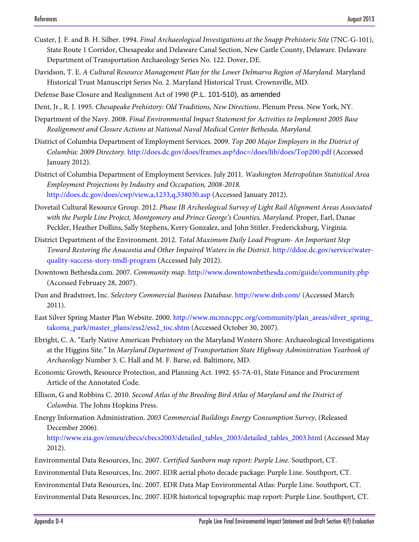- Custer, J. F. and B. H. Silber. 1994. *Final Archaeological Investigations at the Snapp Prehistoric Site* (7NC-G-101), State Route 1 Corridor, Chesapeake and Delaware Canal Section, New Castle County, Delaware. Delaware Department of Transportation Archaeology Series No. 122. Dover, DE.
- Davidson, T. E. *A Cultural Resource Management Plan for the Lower Delmarva Region of Maryland*. Maryland Historical Trust Manuscript Series No. 2. Maryland Historical Trust. Crownsville, MD.

Defense Base Closure and Realignment Act of 1990 (P.L. 101-510), as amended

Dent, Jr., R. J. 1995. *Chesapeake Prehistory: Old Traditions, New Directions*. Plenum Press. New York, NY.

- Department of the Navy. 2008. *Final Environmental Impact Statement for Activities to Implement 2005 Base Realignment and Closure Actions at National Naval Medical Center Bethesda, Maryland.*
- District of Columbia Department of Employment Services. 2009. *Top 200 Major Employers in the District of Columbia: 2009 Directory.* http://does.dc.gov/does/frames.asp?doc=/does/lib/does/Top200.pdf (Accessed January 2012).
- District of Columbia Department of Employment Services. July 2011. *Washington Metropolitan Statistical Area Employment Projections by Industry and Occupation, 2008-2018.* <http://does.dc.gov/does/cwp/view,a,1233,q,538030.asp>(Accessed January 2012).
- Dovetail Cultural Resource Group. 2012. *Phase IB Archeological Survey of Light Rail Alignment Areas Associated*  with the Purple Line Project, Montgomery and Prince George's Counties, Maryland. Proper, Earl, Danae Peckler, Heather Dollins, Sally Stephens, Kerry Gonzalez, and John Stitler. Fredericksburg, Virginia.
- District Department of the Environment. 2012. *Total Maximum Daily Load Program- An Important Step Toward Restoring the Anacostia and Other Impaired Waters in the District*[. http://ddoe.dc.gov/service/water](http://ddoe.dc.gov/service/water-quality-success-story-tmdl-program)[quality-success-story-tmdl-program](http://ddoe.dc.gov/service/water-quality-success-story-tmdl-program) (Accessed July 2012).
- Downtown Bethesda.com. 2007. *Community map.* http://www.downtownbethesda.com/guide/community.php (Accessed February 28, 2007).
- Dun and Bradstreet, Inc. *Selectory Commercial Business Database*[. http://www.dnb.com/ \(](http://www.dnb.com/)Accessed March 2011).
- East Silver Spring Master Plan Website. 2000. http://www.mcmncppc.org/community/plan\_areas/silver\_spring\_ takoma\_park/master\_plans/ess2/ess2\_toc.shtm (Accessed October 30, 2007).
- Ebright, C. A. "Early Native American Prehistory on the Maryland Western Shore: Archaeological Investigations at the Higgins Site." In *Maryland Department of Transportation State Highway Administration Yearbook of Archaeology* Number 3. C. Hall and M. F. Barse, ed. Baltimore, MD.
- Economic Growth, Resource Protection, and Planning Act. 1992. §5-7A-01, State Finance and Procurement Article of the Annotated Code.
- Ellison, G and Robbins C. 2010. *Second Atlas of the Breeding Bird Atlas of Maryland and the District of Columbia*. The Johns Hopkins Press.

Energy Information Administration. *2003 Commercial Buildings Energy Consumption Survey,* (Released December 2006).

[http://www.eia.gov/emeu/cbecs/cbecs2003/detailed\\_tables\\_2003/detailed\\_tables\\_2003.html \(](http://www.eia.gov/emeu/cbecs/cbecs2003/detailed_tables_2003/detailed_tables_2003.html)Accessed May 2012).

Environmental Data Resources, Inc. 2007. *Certified Sanborn map report: Purple Line.* Southport, CT.

Environmental Data Resources, Inc. 2007. EDR aerial photo decade package: Purple Line. Southport, CT.

Environmental Data Resources, Inc. 2007. EDR Data Map Environmental Atlas: Purple Line. Southport, CT.

Environmental Data Resources, Inc. 2007. EDR historical topographic map report: Purple Line. Southport, CT.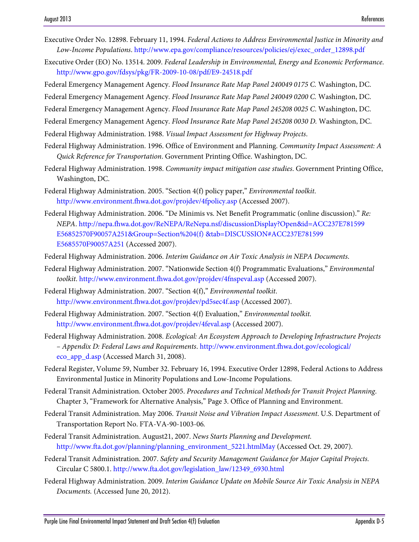- Executive Order No. 12898. February 11, 1994. *Federal Actions to Address Environmental Justice in Minority and Low-Income Populations*. [http://www.epa.gov/compliance/resources/policies/ej/exec\\_order\\_12898.pdf](http://www.epa.gov/compliance/resources/policies/ej/exec_order_12898.pdf)
- Executive Order (EO) No. 13514. 2009. *Federal Leadership in Environmental, Energy and Economic Performance*. http://www.gpo.gov/fdsys/pkg/FR-2009-10-08/pdf/E9-24518.pdf

Federal Emergency Management Agency. *Flood Insurance Rate Map Panel 240049 0175 C.* Washington, DC.

Federal Emergency Management Agency. *Flood Insurance Rate Map Panel 240049 0200 C.* Washington, DC.

Federal Emergency Management Agency. *Flood Insurance Rate Map Panel 245208 0025 C*. Washington, DC.

Federal Emergency Management Agency. *Flood Insurance Rate Map Panel 245208 0030 D.* Washington, DC.

Federal Highway Administration. 1988. *Visual Impact Assessment for Highway Projects*.

- Federal Highway Administration. 1996. Office of Environment and Planning. *Community Impact Assessment: A Quick Reference for Transportation*. Government Printing Office. Washington, DC.
- Federal Highway Administration. 1998. *Community impact mitigation case studies*. Government Printing Office, Washington, DC.
- Federal Highway Administration. 2005. "Section 4(f) policy paper," *Environmental toolkit*. http://www.environment.fhwa.dot.gov/projdev/4fpolicy.asp (Accessed 2007).
- Federal Highway Administration. 2006. "De Minimis vs. Net Benefit Programmatic (online discussion)." *Re: NEPA*. http://nepa.fhwa.dot.gov/ReNEPA/ReNepa.nsf/discussionDisplay?Open&id=ACC237E781599 E56852570F90057A251&Group=Section%204(f) &tab=DISCUSSION#ACC237E781599 E5685570F90057A251 (Accessed 2007).
- Federal Highway Administration. 2006. *Interim Guidance on Air Toxic Analysis in NEPA Documents*.
- Federal Highway Administration. 2007. "Nationwide Section 4(f) Programmatic Evaluations," *Environmental toolkit*. http://www.environment.fhwa.dot.gov/projdev/4fnspeval.asp (Accessed 2007).
- Federal Highway Administration. 2007. "Section 4(f)," *Environmental toolkit*. http://www.environment.fhwa.dot.gov/projdev/pd5sec4f.asp (Accessed 2007).
- Federal Highway Administration. 2007. "Section 4(f) Evaluation," *Environmental toolkit.*  http://www.environment.fhwa.dot.gov/projdev/4feval.asp (Accessed 2007).
- Federal Highway Administration. 2008. *Ecological: An Ecosystem Approach to Developing Infrastructure Projects – Appendix D: Federal Laws and Requirements*. http://www.environment.fhwa.dot.gov/ecological/ eco\_app\_d.asp (Accessed March 31, 2008).
- Federal Register, Volume 59, Number 32. February 16, 1994. Executive Order 12898, Federal Actions to Address Environmental Justice in Minority Populations and Low-Income Populations.
- Federal Transit Administration. October 2005. *Procedures and Technical Methods for Transit Project Planning*. Chapter 3, "Framework for Alternative Analysis," Page 3. Office of Planning and Environment.
- Federal Transit Administration. May 2006. *Transit Noise and Vibration Impact Assessment*. U.S. Department of Transportation Report No. FTA-VA-90-1003-06*.*
- Federal Transit Administration. August21, 2007. *News Starts Planning and Development.*  http://www.fta.dot.gov/planning/planning\_environment\_5221.htmlMay (Accessed Oct. 29, 2007).
- Federal Transit Administration. 2007. *Safety and Security Management Guidance for Major Capital Projects.*  Circular C 5800.1. http://www.fta.dot.gov/legislation\_law/12349\_6930.html
- Federal Highway Administration. 2009. *Interim Guidance Update on Mobile Source Air Toxic Analysis in NEPA Documents.* (Accessed June 20, 2012).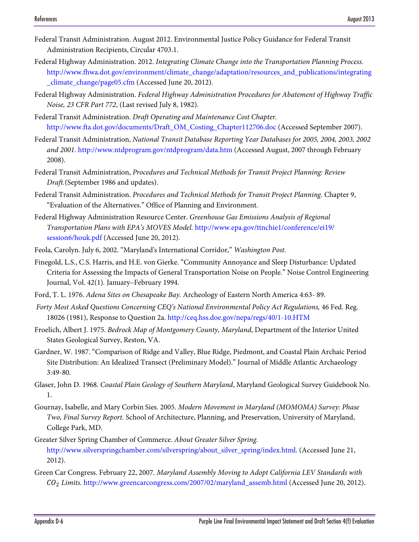- Federal Transit Administration. August 2012. Environmental Justice Policy Guidance for Federal Transit Administration Recipients, Circular 4703.1.
- Federal Highway Administration. 2012. *Integrating Climate Change into the Transportation Planning Process.* http://www.fhwa.dot.gov/environment/climate\_change/adaptation/resources\_and\_publications/integrating \_climate\_change/page05.cfm (Accessed June 20, 2012).
- Federal Highway Administration. *Federal Highway Administration Procedures for Abatement of Highway Traffic Noise, 23 CFR Part 772*, (Last revised July 8, 1982).
- Federal Transit Administration. *Draft Operating and Maintenance Cost Chapter.*  http://www.fta.dot.gov/documents/Draft\_OM\_Costing\_Chapter112706.doc (Accessed September 2007).
- Federal Transit Administration, *National Transit Database Reporting Year Databases for 2005, 2004, 2003, 2002 and 2001.* http://www.ntdprogram.gov/ntdprogram/data.htm (Accessed August, 2007 through February 2008).
- Federal Transit Administration, *Procedures and Technical Methods for Transit Project Planning: Review Draft.*(September 1986 and updates).
- Federal Transit Administration. *Procedures and Technical Methods for Transit Project Planning*. Chapter 9, "Evaluation of the Alternatives." Office of Planning and Environment.
- Federal Highway Administration Resource Center. *Greenhouse Gas Emissions Analysis of Regional Transportation Plans with EPA's MOVES Model.* http://www.epa.gov/ttnchie1/conference/ei19/ session6/houk.pdf (Accessed June 20, 2012).
- Feola, Carolyn. July 6, 2002. "Maryland's International Corridor," *Washington Post.*
- Finegold, L.S., C.S. Harris, and H.E. von Gierke. "Community Annoyance and Sleep Disturbance: Updated Criteria for Assessing the Impacts of General Transportation Noise on People." Noise Control Engineering Journal, Vol. 42(1)*.* January–February 1994.
- Ford, T. L. 1976. *Adena Sites on Chesapeake Bay.* Archeology of Eastern North America 4:63- 89.
- *Forty Most Asked Questions Concerning CEQ's National Environmental Policy Act Regulations,* 46 Fed. Reg. 18026 (1981), Response to Question 2a. http://ceq.hss.doe.gov/nepa/regs/40/1-10.HTM
- Froelich, Albert J. 1975. *Bedrock Map of Montgomery County, Maryland*, Department of the Interior United States Geological Survey, Reston, VA.
- Gardner, W. 1987. "Comparison of Ridge and Valley, Blue Ridge, Piedmont, and Coastal Plain Archaic Period Site Distribution: An Idealized Transect (Preliminary Model)." Journal of Middle Atlantic Archaeology 3:49-80.
- Glaser, John D. 1968. *Coastal Plain Geology of Southern Maryland*, Maryland Geological Survey Guidebook No. 1.
- Gournay, Isabelle, and Mary Corbin Sies. 2005. *Modern Movement in Maryland (MOMOMA) Survey: Phase Two, Final Survey Report.* School of Architecture, Planning, and Preservation, University of Maryland, College Park, MD.
- Greater Silver Spring Chamber of Commerce. *About Greater Silver Spring*. http:/[/www.silverspringchamber.com/silverspring/about\\_silver\\_spring/index.html.](http://www.silverspringchamber.com/‌silverspring/‌about_silver_spring/index.html) (Accessed June 21, 2012).
- Green Car Congress. February 22, 2007. *Maryland Assembly Moving to Adopt California LEV Standards with*  <sup>2</sup> *Limits*. http://www.greencarcongress.com/2007/02/maryland\_assemb.html (Accessed June 20, 2012).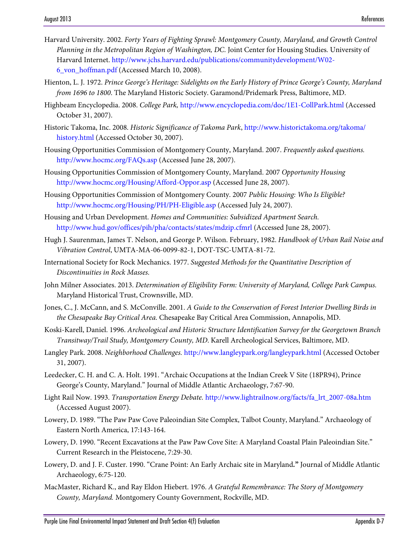- Harvard University. 2002. *Forty Years of Fighting Sprawl: Montgomery County, Maryland, and Growth Control Planning in the Metropolitan Region of Washington, DC*. Joint Center for Housing Studies*.* University of Harvard Internet. [http://www.jchs.harvard.edu/publications/communitydevelopment/W02-](http://www.jchs.harvard.edu/publications/communitydevelopment/W02-6_von_hoffman.pdf) [6\\_von\\_hoffman.pdf](http://www.jchs.harvard.edu/publications/communitydevelopment/W02-6_von_hoffman.pdf) (Accessed March 10, 2008).
- Hienton, L. J. 1972. *Prince George's Heritage: Sidelights on the Early History of Prince George's County, Maryland from 1696 to 1800*. The Maryland Historic Society. Garamond/Pridemark Press, Baltimore, MD.
- Highbeam Encyclopedia. 2008. *College Park,* <http://www.encyclopedia.com/doc/1E1-CollPark.html> (Accessed October 31, 2007).
- Historic Takoma, Inc. 2008. *Historic Significance of Takoma Park*, http://www.historictakoma.org/takoma/ history.html (Accessed October 30, 2007).
- Housing Opportunities Commission of Montgomery County, Maryland. 2007. *Frequently asked questions.*  http://www.hocmc.org/FAQs.asp (Accessed June 28, 2007).
- Housing Opportunities Commission of Montgomery County, Maryland. 2007 *Opportunity Housing*  http://www.hocmc.org/Housing/Afford-Oppor.asp (Accessed June 28, 2007).
- Housing Opportunities Commission of Montgomery County. 2007 *Public Housing: Who Is Eligible?* http://www.hocmc.org/Housing/PH/PH-Eligible.asp (Accessed July 24, 2007).
- Housing and Urban Development. *Homes and Communities: Subsidized Apartment Search.*  http://www.hud.gov/offices/pih/pha/contacts/states/mdzip.cfmrl (Accessed June 28, 2007).
- Hugh J. Saurenman, James T. Nelson, and George P. Wilson. February, 1982. *Handbook of Urban Rail Noise and Vibration Control*, UMTA-MA-06-0099-82-1, DOT-TSC-UMTA-81-72.
- International Society for Rock Mechanics. 1977. *Suggested Methods for the Quantitative Description of Discontinuities in Rock Masses.*
- John Milner Associates. 2013. *Determination of Eligibility Form: University of Maryland, College Park Campus.* Maryland Historical Trust, Crownsville, MD.
- Jones, C., J. McCann, and S. McConville. 2001. *A Guide to the Conservation of Forest Interior Dwelling Birds in the Chesapeake Bay Critical Area.* Chesapeake Bay Critical Area Commission, Annapolis, MD.
- Koski-Karell, Daniel. 1996. *Archeological and Historic Structure Identification Survey for the Georgetown Branch Transitway/Trail Study, Montgomery County, MD*. Karell Archeological Services, Baltimore, MD.
- Langley Park. 2008. *Neighborhood Challenges.* http://www.langleypark.org/langleypark.html (Accessed October 31, 2007).
- Leedecker, C. H. and C. A. Holt. 1991. "Archaic Occupations at the Indian Creek V Site (18PR94), Prince George's County, Maryland." Journal of Middle Atlantic Archaeology, 7:67-90.
- Light Rail Now. 1993. *Transportation Energy Debate.* [http://www.lightrailnow.org/facts/fa\\_lrt\\_2007-08a.htm](http://www.lightrailnow.org/facts/fa_lrt_2007-08a.htm) (Accessed August 2007).
- Lowery, D. 1989. "The Paw Paw Cove Paleoindian Site Complex, Talbot County, Maryland." Archaeology of Eastern North America, 17:143-164.
- Lowery, D. 1990. "Recent Excavations at the Paw Paw Cove Site: A Maryland Coastal Plain Paleoindian Site." Current Research in the Pleistocene, 7:29-30.
- Lowery, D. and J. F. Custer. 1990. "Crane Point: An Early Archaic site in Maryland*.***"** Journal of Middle Atlantic Archaeology, 6:75-120.
- MacMaster, Richard K., and Ray Eldon Hiebert. 1976. *A Grateful Remembrance: The Story of Montgomery County, Maryland.* Montgomery County Government, Rockville, MD.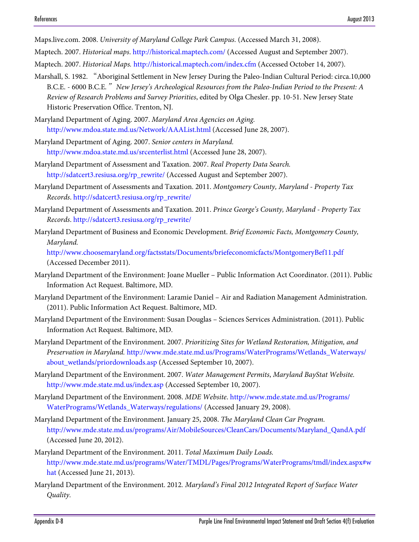Maps.live.com. 2008. *University of Maryland College Park Campus.* (Accessed March 31, 2008).

Maptech. 2007. *Historical maps*. http://historical.maptech.com/ (Accessed August and September 2007).

Maptech. 2007. *Historical Maps.* http://historical.maptech.com/index.cfm (Accessed October 14, 2007).

Marshall, S. 1982. "Aboriginal Settlement in New Jersey During the Paleo-Indian Cultural Period: circa.10,000 B.C.E. - 6000 B.C.E*.*" *New Jersey's Archeological Resources from the Paleo-Indian Period to the Present: A Review of Research Problems and Survey Priorities*, edited by Olga Chesler. pp. 10-51. New Jersey State Historic Preservation Office. Trenton, NJ.

Maryland Department of Aging. 2007. *Maryland Area Agencies on Aging.*  http://www.mdoa.state.md.us/Network/AAAList.html (Accessed June 28, 2007).

- Maryland Department of Aging. 2007. *Senior centers in Maryland.*  http://www.mdoa.state.md.us/srcenterlist.html (Accessed June 28, 2007).
- Maryland Department of Assessment and Taxation. 2007. *Real Property Data Search.*  http://sdatcert3.resiusa.org/rp\_rewrite/ (Accessed August and September 2007).
- Maryland Department of Assessments and Taxation. 2011. *Montgomery County, Maryland Property Tax Records*. [http://sdatcert3.resiusa.org/rp\\_rewrite/](http://sdatcert3.resiusa.org/rp_rewrite/)
- Maryland Department of Assessments and Taxation. 2011. *Prince George's County, Maryland Property Tax Records*. [http://sdatcert3.resiusa.org/rp\\_rewrite/](http://sdatcert3.resiusa.org/rp_rewrite/)
- Maryland Department of Business and Economic Development. *Brief Economic Facts, Montgomery County, Maryland.*

<http://www.choosemaryland.org/factsstats/Documents/briefeconomicfacts/MontgomeryBef11.pdf> (Accessed December 2011).

- Maryland Department of the Environment: Joane Mueller Public Information Act Coordinator. (2011). Public Information Act Request. Baltimore, MD.
- Maryland Department of the Environment: Laramie Daniel Air and Radiation Management Administration. (2011). Public Information Act Request. Baltimore, MD.
- Maryland Department of the Environment: Susan Douglas Sciences Services Administration. (2011). Public Information Act Request. Baltimore, MD.
- Maryland Department of the Environment. 2007. *Prioritizing Sites for Wetland Restoration, Mitigation, and Preservation in Maryland.* http://www.mde.state.md.us/Programs/WaterPrograms/Wetlands\_Waterways/ about\_wetlands/priordownloads.asp (Accessed September 10, 2007).
- Maryland Department of the Environment. 2007. *Water Management Permits*, *Maryland BayStat Website.*  http://www.mde.state.md.us/index.asp (Accessed September 10, 2007).
- Maryland Department of the Environment. 2008. *MDE Website*. [http://www.mde.state.md.us/Programs/](http://www.mde.state.md.us/Programs/WaterPrograms/Wetlands_Waterways/regulations/) [WaterPrograms/Wetlands\\_Waterways/regulations/](http://www.mde.state.md.us/Programs/WaterPrograms/Wetlands_Waterways/regulations/) (Accessed January 29, 2008).
- Maryland Department of the Environment. January 25, 2008. *The Maryland Clean Car Program.* http://www.mde.state.md.us/programs/Air/MobileSources/CleanCars/Documents/Maryland\_QandA.pdf (Accessed June 20, 2012).
- Maryland Department of the Environment. 2011. *Total Maximum Daily Loads.* [http://www.mde.state.md.us/programs/Water/TMDL/Pages/Programs/WaterPrograms/tmdl/index.aspx#w](http://www.mde.state.md.us/programs/Water/TMDL/Pages/Programs/WaterPrograms/tmdl/index.aspx#what) [hat \(](http://www.mde.state.md.us/programs/Water/TMDL/Pages/Programs/WaterPrograms/tmdl/index.aspx#what)Accessed June 21, 2013).
- Maryland Department of the Environment. 2012*. Maryland's Final 2012 Integrated Report of Surface Water Quality.*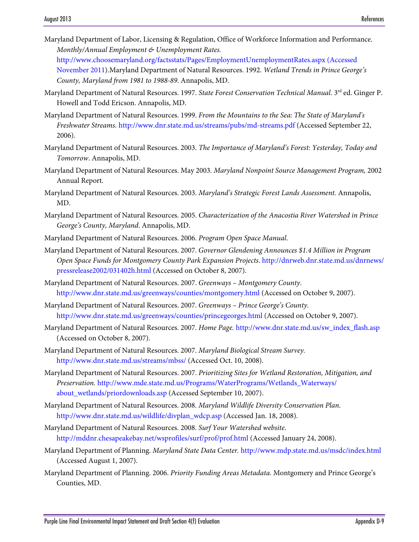- Maryland Department of Labor, Licensing & Regulation, Office of Workforce Information and Performance. *Monthly/Annual Employment & Unemployment Rates.* [http://www.choosemaryland.org/factsstats/Pages/EmploymentUnemploymentRates.aspx \(Accessed](http://www.choosemaryland.org/factsstats/Pages/EmploymentUnemploymentRates.aspx%20(Accessed%20November%202011)  [November 2011\)](http://www.choosemaryland.org/factsstats/Pages/EmploymentUnemploymentRates.aspx%20(Accessed%20November%202011).Maryland Department of Natural Resources. 1992. *Wetland Trends in Prince George's County, Maryland from 1981 to 1988-89*. Annapolis, MD.
- Maryland Department of Natural Resources. 1997. *State Forest Conservation Technical Manual*. 3<sup>rd</sup> ed. Ginger P. Howell and Todd Ericson. Annapolis, MD.
- Maryland Department of Natural Resources. 1999. *From the Mountains to the Sea: The State of Maryland's Freshwater Streams.* <http://www.dnr.state.md.us/streams/pubs/md-streams.pdf> (Accessed September 22, 2006).
- Maryland Department of Natural Resources. 2003. *The Importance of Maryland's Forest: Yesterday, Today and Tomorrow*. Annapolis, MD.
- Maryland Department of Natural Resources. May 2003. *Maryland Nonpoint Source Management Program,* 2002 Annual Report.
- Maryland Department of Natural Resources. 2003. *Maryland's Strategic Forest Lands Assessment.* Annapolis, MD.
- Maryland Department of Natural Resources. 2005. *Characterization of the Anacostia River Watershed in Prince George's County, Maryland*. Annapolis, MD.
- Maryland Department of Natural Resources. 2006. *Program Open Space Manual*.
- Maryland Department of Natural Resources. 2007. *Governor Glendening Announces \$1.4 Million in Program Open Space Funds for Montgomery County Park Expansion Projects*. http://dnrweb.dnr.state.md.us/dnrnews/ pressrelease2002/031402h.html (Accessed on October 8, 2007).
- Maryland Department of Natural Resources. 2007. *Greenways Montgomery County.*  http://www.dnr.state.md.us/greenways/counties/montgomery.html (Accessed on October 9, 2007).
- Maryland Department of Natural Resources. 2007. *Greenways Prince George's County.* http://www.dnr.state.md.us/greenways/counties/princegeorges.html (Accessed on October 9, 2007).
- Maryland Department of Natural Resources. 2007. *Home Page.* http://www.dnr.state.md.us/sw\_index\_flash.asp (Accessed on October 8, 2007).
- Maryland Department of Natural Resources. 2007. *Maryland Biological Stream Survey.*  http://www.dnr.state.md.us/streams/mbss/ (Accessed Oct. 10, 2008).
- Maryland Department of Natural Resources. 2007. *Prioritizing Sites for Wetland Restoration, Mitigation, and Preservation.* http://www.mde.state.md.us/Programs/WaterPrograms/Wetlands\_Waterways/ about\_wetlands/priordownloads.asp (Accessed September 10, 2007).
- Maryland Department of Natural Resources. 2008. *Maryland Wildlife Diversity Conservation Plan*. http://www.dnr.state.md.us/wildlife/divplan\_wdcp.asp (Accessed Jan. 18, 2008).
- Maryland Department of Natural Resources. 2008. *Surf Your Watershed website*. http://mddnr.chesapeakebay.net/wsprofiles/surf/prof/prof.html (Accessed January 24, 2008).
- Maryland Department of Planning. *Maryland State Data Center.* http://www.mdp.state.md.us/msdc/index.html (Accessed August 1, 2007).
- Maryland Department of Planning. 2006. *Priority Funding Areas Metadata.* Montgomery and Prince George's Counties, MD.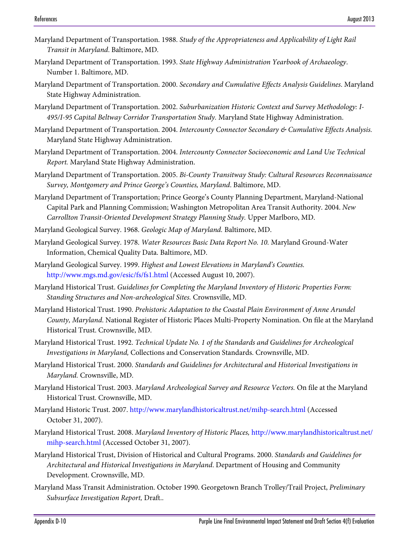- Maryland Department of Transportation. 1988. *Study of the Appropriateness and Applicability of Light Rail Transit in Maryland*. Baltimore, MD.
- Maryland Department of Transportation. 1993. *State Highway Administration Yearbook of Archaeology*. Number 1. Baltimore, MD.
- Maryland Department of Transportation. 2000. *Secondary and Cumulative Effects Analysis Guidelines*. Maryland State Highway Administration.
- Maryland Department of Transportation. 2002. *Suburbanization Historic Context and Survey Methodology: I-495/I-95 Capital Beltway Corridor Transportation Study.* Maryland State Highway Administration.
- Maryland Department of Transportation. 2004. *Intercounty Connector Secondary & Cumulative Effects Analysis.*  Maryland State Highway Administration.
- Maryland Department of Transportation. 2004. *Intercounty Connector Socioeconomic and Land Use Technical Report.* Maryland State Highway Administration.
- Maryland Department of Transportation. 2005. *Bi-County Transitway Study: Cultural Resources Reconnaissance Survey, Montgomery and Prince George's Counties, Maryland*. Baltimore, MD.
- Maryland Department of Transportation; Prince George's County Planning Department, Maryland-National Capital Park and Planning Commission; Washington Metropolitan Area Transit Authority. 2004. *New Carrollton Transit-Oriented Development Strategy Planning Study.* Upper Marlboro, MD.
- Maryland Geological Survey. 1968. *Geologic Map of Maryland.* Baltimore, MD.
- Maryland Geological Survey. 1978. *Water Resources Basic Data Report No. 10.* Maryland Ground-Water Information, Chemical Quality Data. Baltimore, MD.
- Maryland Geological Survey. 1999. *Highest and Lowest Elevations in Maryland's Counties.*  http://www.mgs.md.gov/esic/fs/fs1.html (Accessed August 10, 2007).
- Maryland Historical Trust. *Guidelines for Completing the Maryland Inventory of Historic Properties Form: Standing Structures and Non-archeological Sites.* Crownsville, MD.
- Maryland Historical Trust. 1990. *Prehistoric Adaptation to the Coastal Plain Environment of Anne Arundel County, Maryland*. National Register of Historic Places Multi-Property Nomination. On file at the Maryland Historical Trust. Crownsville, MD.
- Maryland Historical Trust. 1992. *Technical Update No. 1 of the Standards and Guidelines for Archeological Investigations in Maryland,* Collections and Conservation Standards. Crownsville, MD.
- Maryland Historical Trust. 2000. *Standards and Guidelines for Architectural and Historical Investigations in Maryland.* Crownsville, MD.
- Maryland Historical Trust. 2003. *Maryland Archeological Survey and Resource Vectors.* On file at the Maryland Historical Trust. Crownsville, MD.
- Maryland Historic Trust. 2007.<http://www.marylandhistoricaltrust.net/mihp-search.html> (Accessed October 31, 2007).
- Maryland Historical Trust. 2008. *Maryland Inventory of Historic Places,* http://www.marylandhistoricaltrust.net/ mihp-search.html (Accessed October 31, 2007).
- Maryland Historical Trust, Division of Historical and Cultural Programs. 2000. *Standards and Guidelines for Architectural and Historical Investigations in Maryland*. Department of Housing and Community Development. Crownsville, MD.
- Maryland Mass Transit Administration. October 1990. Georgetown Branch Trolley/Trail Project, *Preliminary Subsurface Investigation Report,* Draft..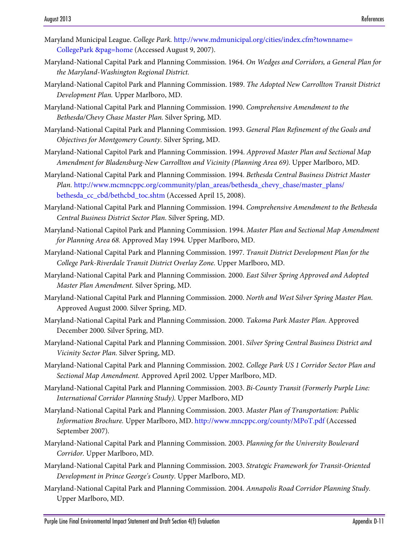- Maryland Municipal League. *College Park.* http://www.mdmunicipal.org/cities/index.cfm?townname= CollegePark &pag=home (Accessed August 9, 2007).
- Maryland-National Capital Park and Planning Commission. 1964. *On Wedges and Corridors, a General Plan for the Maryland-Washington Regional District.*
- Maryland-National Capitol Park and Planning Commission. 1989. *The Adopted New Carrollton Transit District Development Plan.* Upper Marlboro, MD.
- Maryland-National Capital Park and Planning Commission. 1990. *Comprehensive Amendment to the Bethesda/Chevy Chase Master Plan.* Silver Spring, MD.
- Maryland-National Capital Park and Planning Commission. 1993. *General Plan Refinement of the Goals and Objectives for Montgomery County.* Silver Spring, MD.
- Maryland-National Capitol Park and Planning Commission. 1994. *Approved Master Plan and Sectional Map Amendment for Bladensburg-New Carrollton and Vicinity (Planning Area 69).* Upper Marlboro, MD.
- Maryland-National Capital Park and Planning Commission. 1994. *Bethesda Central Business District Master Plan.* http://www.mcmncppc.org/community/plan\_areas/bethesda\_chevy\_chase/master\_plans/ bethesda\_cc\_cbd/bethcbd\_toc.shtm (Accessed April 15, 2008).
- Maryland-National Capital Park and Planning Commission. 1994. *Comprehensive Amendment to the Bethesda Central Business District Sector Plan.* Silver Spring, MD.
- Maryland-National Capitol Park and Planning Commission. 1994. *Master Plan and Sectional Map Amendment for Planning Area 68.* Approved May 1994*.* Upper Marlboro, MD.
- Maryland-National Capital Park and Planning Commission. 1997. *Transit District Development Plan for the College Park-Riverdale Transit District Overlay Zone.* Upper Marlboro, MD.
- Maryland-National Capital Park and Planning Commission. 2000. *East Silver Spring Approved and Adopted Master Plan Amendment.* Silver Spring, MD.
- Maryland-National Capital Park and Planning Commission. 2000. *North and West Silver Spring Master Plan.*  Approved August 2000*.* Silver Spring, MD.
- Maryland-National Capital Park and Planning Commission. 2000. *Takoma Park Master Plan.* Approved December 2000*.* Silver Spring, MD.
- Maryland-National Capital Park and Planning Commission. 2001. *Silver Spring Central Business District and Vicinity Sector Plan.* Silver Spring, MD.
- Maryland-National Capital Park and Planning Commission. 2002. *College Park US 1 Corridor Sector Plan and Sectional Map Amendment.* Approved April 2002*.* Upper Marlboro, MD.
- Maryland-National Capital Park and Planning Commission. 2003. *Bi-County Transit (Formerly Purple Line: International Corridor Planning Study).* Upper Marlboro, MD
- Maryland-National Capital Park and Planning Commission. 2003. *Master Plan of Transportation: Public Information Brochure.* Upper Marlboro, MD. http://www.mncppc.org/county/MPoT.pdf (Accessed September 2007).
- Maryland-National Capital Park and Planning Commission. 2003. *Planning for the University Boulevard Corridor.* Upper Marlboro, MD.
- Maryland-National Capital Park and Planning Commission. 2003. *Strategic Framework for Transit-Oriented Development in Prince George's County.* Upper Marlboro, MD.
- Maryland-National Capital Park and Planning Commission. 2004. *Annapolis Road Corridor Planning Study.*  Upper Marlboro, MD.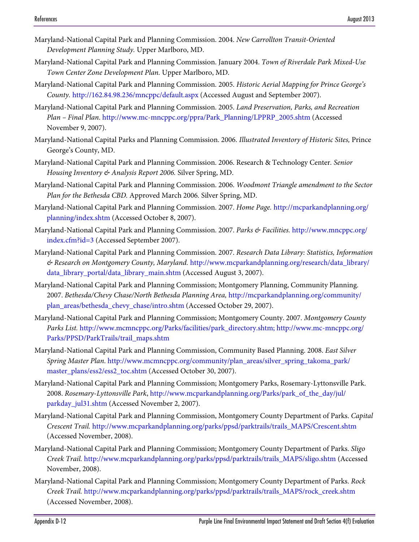- Maryland-National Capital Park and Planning Commission. 2004. *New Carrollton Transit-Oriented Development Planning Study.* Upper Marlboro, MD.
- Maryland-National Capital Park and Planning Commission. January 2004. *Town of Riverdale Park Mixed-Use Town Center Zone Development Plan.* Upper Marlboro, MD.
- Maryland-National Capital Park and Planning Commission. 2005. *Historic Aerial Mapping for Prince George's County.* http://162.84.98.236/mncppc/default.aspx (Accessed August and September 2007).
- Maryland-National Capital Park and Planning Commission. 2005. *Land Preservation, Parks, and Recreation Plan – Final Plan*[. http://www.mc-mncppc.org/ppra/Park\\_Planning/LPPRP\\_2005.shtm](http://www.mc-mncppc.org/ppra/Park_Planning/LPPRP_2005.shtm) (Accessed November 9, 2007).
- Maryland-National Capital Parks and Planning Commission. 2006. *Illustrated Inventory of Historic Sites,* Prince George's County, MD.
- Maryland-National Capital Park and Planning Commission. 2006. Research & Technology Center*. Senior Housing Inventory & Analysis Report 2006.* Silver Spring, MD.
- Maryland-National Capital Park and Planning Commission. 2006. *Woodmont Triangle amendment to the Sector Plan for the Bethesda CBD.* Approved March 2006*.* Silver Spring, MD.
- Maryland-National Capital Park and Planning Commission. 2007. *Home Page.* http://mcparkandplanning.org/ planning/index.shtm (Accessed October 8, 2007).
- Maryland-National Capital Park and Planning Commission. 2007. *Parks & Facilities.* http://www.mncppc.org/ index.cfm?id=3 (Accessed September 2007).
- Maryland-National Capital Park and Planning Commission. 2007. *Research Data Library: Statistics, Information & Research on Montgomery County, Maryland.* http://www.mcparkandplanning.org/research/data\_library/ data\_library\_portal/data\_library\_main.shtm (Accessed August 3, 2007).
- Maryland-National Capital Park and Planning Commission; Montgomery Planning, Community Planning. 2007. *Bethesda/Chevy Chase/North Bethesda Planning Area,* [http://mcparkandplanning.org/community/](http://mcparkandplanning.org/community/plan_areas/bethesda_chevy_chase/intro.shtm) [plan\\_areas/bethesda\\_chevy\\_chase/intro.shtm](http://mcparkandplanning.org/community/plan_areas/bethesda_chevy_chase/intro.shtm) (Accessed October 29, 2007).
- Maryland-National Capital Park and Planning Commission; Montgomery County. 2007. *Montgomery County Parks List.* [http://www.mcmncppc.org/Parks/facilities/park\\_directory.shtm;](http://www.mcmncppc.org/Parks/facilities/park_directory.shtm) http://www.mc-mncppc.org/ Parks/PPSD/ParkTrails/trail\_maps.shtm
- Maryland-National Capital Park and Planning Commission, Community Based Planning. 2008. *East Silver Spring Master Plan*. [http://www.mcmncppc.org/community/plan\\_areas/silver\\_spring\\_takoma\\_park/](http://www.mcmncppc.org/community/plan_areas/silver_spring_takoma_park/master_plans/ess2/ess2_toc.shtm) [master\\_plans/ess2/ess2\\_toc.shtm](http://www.mcmncppc.org/community/plan_areas/silver_spring_takoma_park/master_plans/ess2/ess2_toc.shtm) (Accessed October 30, 2007).
- Maryland-National Capital Park and Planning Commission; Montgomery Parks, Rosemary-Lyttonsville Park. 2008. *Rosemary-Lyttonsville Park*, http://www.mcparkandplanning.org/Parks/park\_of\_the\_day/jul/ parkday\_jul31.shtm (Accessed November 2, 2007).
- Maryland-National Capital Park and Planning Commission, Montgomery County Department of Parks. *Capital Crescent Trail.* http://www.mcparkandplanning.org/parks/ppsd/parktrails/trails\_MAPS/Crescent.shtm (Accessed November, 2008).
- Maryland-National Capital Park and Planning Commission; Montgomery County Department of Parks. *Sligo Creek Trail.* http://www.mcparkandplanning.org/parks/ppsd/parktrails/trails\_MAPS/sligo.shtm (Accessed November, 2008).
- Maryland-National Capital Park and Planning Commission; Montgomery County Department of Parks. *Rock Creek Trail.* [http://www.mcparkandplanning.org/parks/ppsd/parktrails/trails\\_MAPS/rock\\_creek.shtm](http://www.mcparkandplanning.org/parks/ppsd/parktrails/trails_MAPS/rock_creek.shtm) (Accessed November, 2008).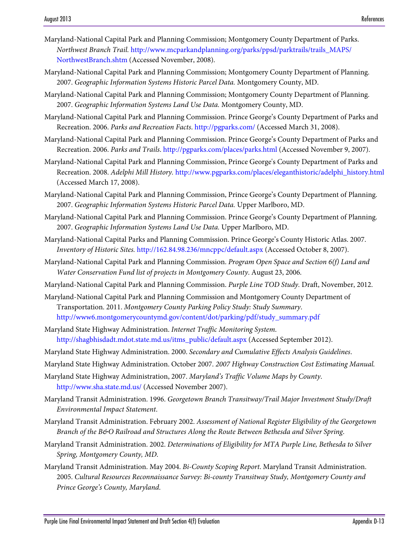- Maryland-National Capital Park and Planning Commission; Montgomery County Department of Parks. *Northwest Branch Trail.* [http://www.mcparkandplanning.org/parks/ppsd/parktrails/trails\\_MAPS/](http://www.mcparkandplanning.org/parks/ppsd/parktrails/trails_MAPS/NorthwestBranch.shtm) [NorthwestBranch.shtm](http://www.mcparkandplanning.org/parks/ppsd/parktrails/trails_MAPS/NorthwestBranch.shtm) (Accessed November, 2008).
- Maryland-National Capital Park and Planning Commission; Montgomery County Department of Planning. 2007. *Geographic Information Systems Historic Parcel Data.* Montgomery County, MD.
- Maryland-National Capital Park and Planning Commission; Montgomery County Department of Planning. 2007. *Geographic Information Systems Land Use Data.* Montgomery County, MD.
- Maryland-National Capital Park and Planning Commission. Prince George's County Department of Parks and Recreation. 2006. *Parks and Recreation Facts*. http://pgparks.com/ (Accessed March 31, 2008).
- Maryland-National Capital Park and Planning Commission. Prince George's County Department of Parks and Recreation. 2006. *Parks and Trails*. http://pgparks.com/places/parks.html (Accessed November 9, 2007).
- Maryland-National Capital Park and Planning Commission, Prince George's County Department of Parks and Recreation. 2008. *Adelphi Mill History.* http://www.pgparks.com/places/eleganthistoric/adelphi\_history.html (Accessed March 17, 2008).
- Maryland-National Capital Park and Planning Commission, Prince George's County Department of Planning. 2007. *Geographic Information Systems Historic Parcel Data.* Upper Marlboro, MD.
- Maryland-National Capital Park and Planning Commission. Prince George's County Department of Planning. 2007. *Geographic Information Systems Land Use Data.* Upper Marlboro, MD.
- Maryland-National Capital Parks and Planning Commission. Prince George's County Historic Atlas. 2007. *Inventory of Historic Sites.* http://162.84.98.236/mncppc/default.aspx (Accessed October 8, 2007).
- Maryland-National Capital Park and Planning Commission. *Program Open Space and Section 6(f) Land and Water Conservation Fund list of projects in Montgomery County*. August 23, 2006.
- Maryland-National Capital Park and Planning Commission. *Purple Line TOD Study.* Draft, November, 2012.
- Maryland-National Capital Park and Planning Commission and Montgomery County Department of Transportation. 2011. *Montgomery County Parking Policy Study: Study Summary*. http://www6.montgomerycountymd.gov/content/dot/parking/pdf/study\_summary.pdf
- Maryland State Highway Administration. *Internet Traffic Monitoring System*. [http://shagbhisdadt.mdot.state.md.us/itms\\_public/default.aspx](http://shagbhisdadt.mdot.state.md.us/itms_public/default.aspx) (Accessed September 2012).
- Maryland State Highway Administration. 2000. *Secondary and Cumulative Effects Analysis Guidelines*.
- Maryland State Highway Administration. October 2007. *2007 Highway Construction Cost Estimating Manual.*
- Maryland State Highway Administration, 2007. *Maryland's Traffic Volume Maps by County*. http://www.sha.state.md.us/ (Accessed November 2007).
- Maryland Transit Administration. 1996. *Georgetown Branch Transitway/Trail Major Investment Study/Draft Environmental Impact Statement*.
- Maryland Transit Administration. February 2002. *Assessment of National Register Eligibility of the Georgetown Branch of the B&O Railroad and Structures Along the Route Between Bethesda and Silver Spring*.
- Maryland Transit Administration. 2002. *Determinations of Eligibility for MTA Purple Line, Bethesda to Silver Spring, Montgomery County, MD*.
- Maryland Transit Administration. May 2004. *Bi-County Scoping Report*. Maryland Transit Administration. 2005. *Cultural Resources Reconnaissance Survey: Bi-county Transitway Study, Montgomery County and Prince George's County, Maryland*.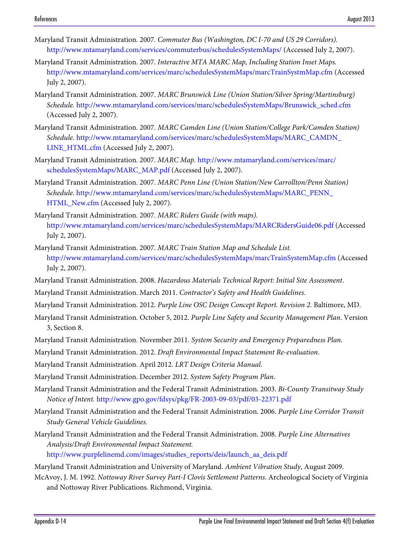- Maryland Transit Administration. 2007. *Commuter Bus (Washington, DC I-70 and US 29 Corridors).*  <http://www.mtamaryland.com/services/commuterbus/schedulesSystemMaps/> (Accessed July 2, 2007).
- Maryland Transit Administration. 2007. *Interactive MTA MARC Map, Including Station Inset Maps.*  <http://www.mtamaryland.com/services/marc/schedulesSystemMaps/marcTrainSystmMap.cfm> (Accessed July 2, 2007).
- Maryland Transit Administration. 2007. *MARC Brunswick Line (Union Station/Silver Spring/Martinsburg) Schedule.* [http://www.mtamaryland.com/services/marc/schedulesSystemMaps/Brunswick\\_sched.cfm](http://www.mtamaryland.com/services/marc/schedulesSystemMaps/Brunswick_sched.cfm) (Accessed July 2, 2007).
- Maryland Transit Administration. 2007. *MARC Camden Line (Union Station/College Park/Camden Station) Schedule.* http://www.mtamaryland.com/services/marc/schedulesSystemMaps/MARC\_CAMDN\_ LINE\_HTML.cfm (Accessed July 2, 2007).
- Maryland Transit Administration. 2007. *MARC Map.* http://www.mtamaryland.com/services/marc/ schedulesSystemMaps/MARC\_MAP.pdf (Accessed July 2, 2007).
- Maryland Transit Administration. 2007. *MARC Penn Line (Union Station/New Carrollton/Penn Station) Schedule.* http://www.mtamaryland.com/services/marc/schedulesSystemMaps/MARC\_PENN\_ HTML\_New.cfm (Accessed July 2, 2007).
- Maryland Transit Administration. 2007. *MARC Riders Guide (with maps).*  <http://www.mtamaryland.com/services/marc/schedulesSystemMaps/MARCRidersGuide06.pdf> (Accessed July 2, 2007).
- Maryland Transit Administration. 2007. *MARC Train Station Map and Schedule List.*  <http://www.mtamaryland.com/services/marc/schedulesSystemMaps/marcTrainSystemMap.cfm> (Accessed July 2, 2007).
- Maryland Transit Administration. 2008. *Hazardous Materials Technical Report: Initial Site Assessment*.
- Maryland Transit Administration. March 2011. *Contractor's Safety and Health Guidelines*.
- Maryland Transit Administration. 2012. *Purple Line OSC Design Concept Report. Revision 2.* Baltimore, MD.
- Maryland Transit Administration. October 5, 2012. *Purple Line Safety and Security Management Plan*. Version 3, Section 8.
- Maryland Transit Administration. November 2011. *System Security and Emergency Preparedness Plan*.
- Maryland Transit Administration. 2012. *Draft Environmental Impact Statement Re-evaluation*.
- Maryland Transit Administration. April 2012. *LRT Design Criteria Manual*.
- Maryland Transit Administration. December 2012. *System Safety Program Plan*.
- Maryland Transit Administration and the Federal Transit Administration. 2003. *Bi-County Transitway Study Notice of Intent.* <http://www.gpo.gov/fdsys/pkg/FR-2003-09-03/pdf/03-22371.pdf>
- Maryland Transit Administration and the Federal Transit Administration. 2006. *Purple Line Corridor Transit Study General Vehicle Guidelines*.
- Maryland Transit Administration and the Federal Transit Administration. 2008. *Purple Line Alternatives Analysis/Draft Environmental Impact Statement.* [http://www.purplelinemd.com/images/studies\\_reports/deis/launch\\_aa\\_deis.pdf](http://www.purplelinemd.com/images/studies_reports/deis/launch_aa_deis.pdf)

Maryland Transit Administration and University of Maryland. *Ambient Vibration Study*, August 2009.

McAvoy, J. M. 1992. *Nottoway River Survey Part-I Clovis Settlement Patterns*. Archeological Society of Virginia and Nottoway River Publications. Richmond, Virginia.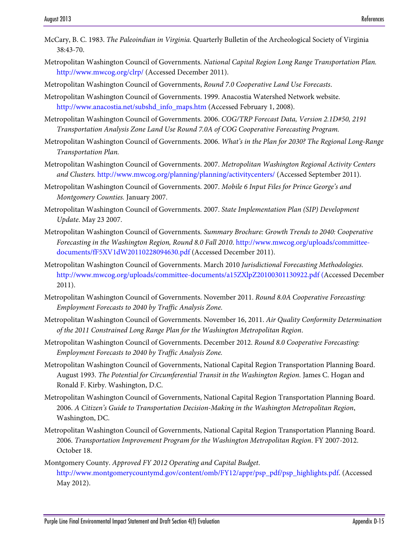- McCary, B. C. 1983. *The Paleoindian in Virginia.* Quarterly Bulletin of the Archeological Society of Virginia 38:43-70.
- Metropolitan Washington Council of Governments. *National Capital Region Long Range Transportation Plan.* <http://www.mwcog.org/clrp/>(Accessed December 2011).
- Metropolitan Washington Council of Governments, *Round 7.0 Cooperative Land Use Forecasts*.
- Metropolitan Washington Council of Governments. 1999. Anacostia Watershed Network website. http://www.anacostia.net/subshd\_info\_maps.htm (Accessed February 1, 2008).
- Metropolitan Washington Council of Governments. 2006. *COG/TRP Forecast Data, Version 2.1D#50, 2191 Transportation Analysis Zone Land Use Round 7.0A of COG Cooperative Forecasting Program.*
- Metropolitan Washington Council of Governments. 2006. *What's in the Plan for 2030? The Regional Long-Range Transportation Plan.*
- Metropolitan Washington Council of Governments. 2007. *Metropolitan Washington Regional Activity Centers and Clusters.* <http://www.mwcog.org/planning/planning/activitycenters/>(Accessed September 2011).
- Metropolitan Washington Council of Governments. 2007. *Mobile 6 Input Files for Prince George's and Montgomery Counties.* January 2007.
- Metropolitan Washington Council of Governments. 2007. *State Implementation Plan (SIP) Development Update*. May 23 2007.
- Metropolitan Washington Council of Governments. *Summary Brochure: Growth Trends to 2040: Cooperative Forecasting in the Washington Region, Round 8.0 Fall 2010*. [http://www.mwcog.org/uploads/committee](http://www.mwcog.org/uploads/committee-documents/fF5XV1dW20110228094630.pdf)[documents/fF5XV1dW20110228094630.pdf](http://www.mwcog.org/uploads/committee-documents/fF5XV1dW20110228094630.pdf) (Accessed December 2011).
- Metropolitan Washington Council of Governments. March 2010 *Jurisdictional Forecasting Methodologies.* http://www.mwcog.org/uploads/committee-documents/a15ZXlpZ20100301130922.pdf (Accessed December 2011).
- Metropolitan Washington Council of Governments. November 2011. *Round 8.0A Cooperative Forecasting: Employment Forecasts to 2040 by Traffic Analysis Zone.*
- Metropolitan Washington Council of Governments. November 16, 2011. *Air Quality Conformity Determination of the 2011 Constrained Long Range Plan for the Washington Metropolitan Region*.
- Metropolitan Washington Council of Governments. December 2012. *Round 8.0 Cooperative Forecasting: Employment Forecasts to 2040 by Traffic Analysis Zone.*
- Metropolitan Washington Council of Governments, National Capital Region Transportation Planning Board. August 1993. *The Potential for Circumferential Transit in the Washington Region.* James C. Hogan and Ronald F. Kirby. Washington, D.C.
- Metropolitan Washington Council of Governments, National Capital Region Transportation Planning Board. 2006. *A Citizen's Guide to Transportation Decision-Making in the Washington Metropolitan Region*, Washington, DC.
- Metropolitan Washington Council of Governments, National Capital Region Transportation Planning Board. 2006. *Transportation Improvement Program for the Washington Metropolitan Region*. FY 2007-2012. October 18.
- Montgomery County. *Approved FY 2012 Operating and Capital Budget*. [http://www.montgomerycountymd.gov/content/omb/FY12/appr/psp\\_pdf/psp\\_highlights.pdf.](http://www.montgomerycountymd.gov/content/omb/FY12/appr/psp_pdf/psp_highlights.pdf) (Accessed May 2012).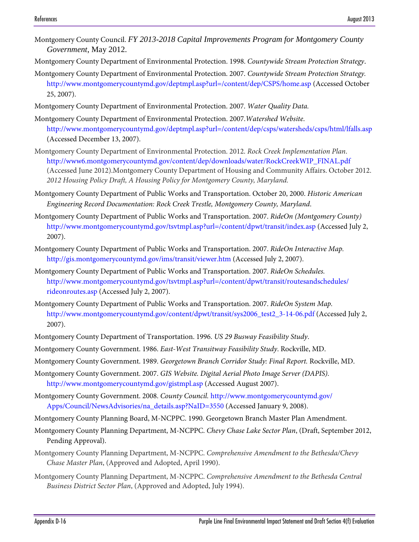- Montgomery County Council. *FY 2013-2018 Capital Improvements Program for Montgomery County Government*, May 2012.
- Montgomery County Department of Environmental Protection. 1998. *Countywide Stream Protection Strategy*.
- Montgomery County Department of Environmental Protection. 2007. *Countywide Stream Protection Strategy.*  <http://www.montgomerycountymd.gov/deptmpl.asp?url=/content/dep/CSPS/home.asp> (Accessed October 25, 2007).
- Montgomery County Department of Environmental Protection. 2007. *Water Quality Data.*
- Montgomery County Department of Environmental Protection. 2007.*Watershed Website*. http://www.montgomerycountymd.gov/deptmpl.asp?url=/content/dep/csps/watersheds/csps/html/lfalls.asp (Accessed December 13, 2007).
- Montgomery County Department of Environmental Protection. 2012. *Rock Creek Implementation Plan*. [http://www6.montgomerycountymd.gov/content/dep/downloads/water/RockCreekWIP\\_FINAL.pdf](http://www6.montgomerycountymd.gov/content/dep/downloads/water/RockCreekWIP_FINAL.pdf) (Accessed June 2012).Montgomery County Department of Housing and Community Affairs. October 2012. *2012 Housing Policy Draft, A Housing Policy for Montgomery County, Maryland.*
- Montgomery County Department of Public Works and Transportation. October 20, 2000. *Historic American Engineering Record Documentation: Rock Creek Trestle, Montgomery County, Maryland*.
- Montgomery County Department of Public Works and Transportation. 2007. *RideOn (Montgomery County)*  <http://www.montgomerycountymd.gov/tsvtmpl.asp?url=/content/dpwt/transit/index.asp> (Accessed July 2, 2007).
- Montgomery County Department of Public Works and Transportation. 2007. *RideOn Interactive Map.*  http://gis.montgomerycountymd.gov/ims/transit/viewer.htm (Accessed July 2, 2007).
- Montgomery County Department of Public Works and Transportation. 2007. *RideOn Schedules.*  http://www.montgomerycountymd.gov/tsvtmpl.asp?url=/content/dpwt/transit/routesandschedules/ rideonroutes.asp (Accessed July 2, 2007).
- Montgomery County Department of Public Works and Transportation. 2007. *RideOn System Map.*  http://www.montgomerycountymd.gov/content/dpwt/transit/sys2006\_test2\_3-14-06.pdf (Accessed July 2, 2007).
- Montgomery County Department of Transportation. 1996. *US 29 Busway Feasibility Study*.
- Montgomery County Government. 1986. *East-West Transitway Feasibility Study*. Rockville, MD.
- Montgomery County Government. 1989. *Georgetown Branch Corridor Study: Final Report.* Rockville, MD.
- Montgomery County Government. 2007. *GIS Website. Digital Aerial Photo Image Server (DAPIS).*  http://www.montgomerycountymd.gov/gistmpl.asp (Accessed August 2007).
- Montgomery County Government. 2008. *County Council.* [http://www.montgomerycountymd.gov/](http://www.montgomerycountymd.gov/Apps/Council/NewsAdvisories/na_details.asp?NaID=3550) [Apps/Council/NewsAdvisories/na\\_details.asp?NaID=3550](http://www.montgomerycountymd.gov/Apps/Council/NewsAdvisories/na_details.asp?NaID=3550) (Accessed January 9, 2008).
- Montgomery County Planning Board, M-NCPPC. 1990. Georgetown Branch Master Plan Amendment.
- Montgomery County Planning Department, M-NCPPC. *Chevy Chase Lake Sector Plan*, (Draft, September 2012, Pending Approval).
- Montgomery County Planning Department, M-NCPPC. *Comprehensive Amendment to the Bethesda/Chevy Chase Master Plan*, (Approved and Adopted, April 1990).
- Montgomery County Planning Department, M-NCPPC. *Comprehensive Amendment to the Bethesda Central Business District Sector Plan*, (Approved and Adopted, July 1994).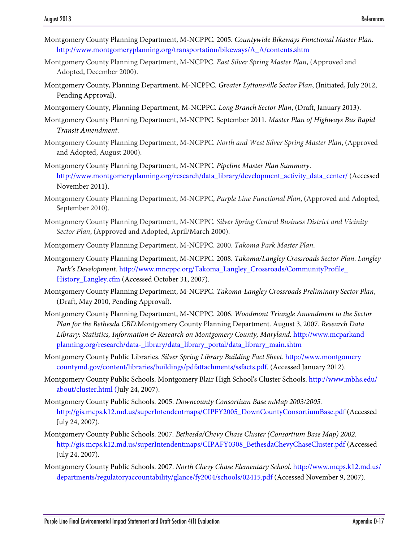- Montgomery County Planning Department, M-NCPPC. 2005. *Countywide Bikeways Functional Master Plan*. [http://www.montgomeryplanning.org/transportation/bikeways/A\\_A/contents.shtm](http://www.montgomeryplanning.org/transportation/bikeways/A_A/contents.shtm)
- Montgomery County Planning Department, M-NCPPC. *East Silver Spring Master Plan*, (Approved and Adopted, December 2000).
- Montgomery County, Planning Department, M-NCPPC. *Greater Lyttonsville Sector Plan*, (Initiated, July 2012, Pending Approval).
- Montgomery County, Planning Department, M-NCPPC. *Long Branch Sector Plan*, (Draft, January 2013).
- Montgomery County Planning Department, M-NCPPC. September 2011. *Master Plan of Highways Bus Rapid Transit Amendment*.
- Montgomery County Planning Department, M-NCPPC. *North and West Silver Spring Master Plan*, (Approved and Adopted, August 2000).
- Montgomery County Planning Department, M-NCPPC. *Pipeline Master Plan Summary*. [http://www.montgomeryplanning.org/research/data\\_library/development\\_activity\\_data\\_center/](http://www.montgomeryplanning.org/research/data_library/development_activity_data_center/) (Accessed November 2011).
- Montgomery County Planning Department, M-NCPPC, *Purple Line Functional Plan*, (Approved and Adopted, September 2010).
- Montgomery County Planning Department, M-NCPPC. *Silver Spring Central Business District and Vicinity Sector Plan*, (Approved and Adopted, April/March 2000).
- Montgomery County Planning Department, M-NCPPC. 2000. *Takoma Park Master Plan*.
- Montgomery County Planning Department, M-NCPPC. 2008. *Takoma/Langley Crossroads Sector Plan*. *Langley Park's Development.* http:/[/www.mncppc.org/Takoma\\_Langley\\_Crossroads/CommunityProfile\\_](http://www.mncppc.org/Takoma_Langley_Crossroads/‌CommunityProfile_History_Langley.cfm) [History\\_Langley.cfm](http://www.mncppc.org/Takoma_Langley_Crossroads/‌CommunityProfile_History_Langley.cfm) (Accessed October 31, 2007).
- Montgomery County Planning Department, M-NCPPC. *Takoma-Langley Crossroads Preliminary Sector Plan*, (Draft, May 2010, Pending Approval).
- Montgomery County Planning Department, M-NCPPC. 2006. *Woodmont Triangle Amendment to the Sector Plan for the Bethesda CBD*.Montgomery County Planning Department. August 3, 2007. *Research Data Library: Statistics, Information & Research on Montgomery County, Maryland.* http://www.mcparkand planning.org/research/data-\_library/data\_library\_portal/data\_library\_main.shtm
- Montgomery County Public Libraries. *Silver Spring Library Building Fact Sheet*. [http://www.montgomery](http://www.montgomerycountymd.gov/content/libraries/buildings/pdfattachments/ssfacts.pdf) [countymd.gov/content/libraries/buildings/pdfattachments/ssfacts.pdf.](http://www.montgomerycountymd.gov/content/libraries/buildings/pdfattachments/ssfacts.pdf) (Accessed January 2012).
- Montgomery County Public Schools. Montgomery Blair High School's Cluster Schools. [http://www.mbhs.edu/](http://www.mbhs.edu/about/cluster.html) [about/cluster.html](http://www.mbhs.edu/about/cluster.html) (July 24, 2007).
- Montgomery County Public Schools. 2005. *Downcounty Consortium Base mMap 2003/2005.*  [http://gis.mcps.k12.md.us/superIntendentmaps/CIPFY2005\\_DownCountyConsortiumBase.pdf](http://gis.mcps.k12.md.us/superIntendentmaps/CIPFY2005_DownCountyConsortiumBase.pdf) (Accessed July 24, 2007).
- Montgomery County Public Schools. 2007. *Bethesda/Chevy Chase Cluster (Consortium Base Map) 2002.*  [http://gis.mcps.k12.md.us/superIntendentmaps/CIPAFY0308\\_BethesdaChevyChaseCluster.pdf](http://gis.mcps.k12.md.us/superIntendentmaps/CIPAFY0308_BethesdaChevyChaseCluster.pdf) (Accessed July 24, 2007).
- Montgomery County Public Schools. 2007. *North Chevy Chase Elementary School.* http://www.mcps.k12.md.us/ departments/regulatoryaccountability/glance/fy2004/schools/02415.pdf (Accessed November 9, 2007).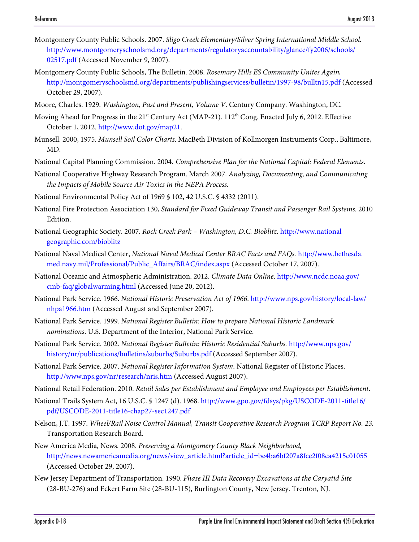- Montgomery County Public Schools. 2007. *Sligo Creek Elementary/Silver Spring International Middle School.*  http://www.montgomeryschoolsmd.org/departments/regulatoryaccountability/glance/fy2006/schools/ 02517.pdf (Accessed November 9, 2007).
- Montgomery County Public Schools, The Bulletin. 2008. *Rosemary Hills ES Community Unites Again,*  <http://montgomeryschoolsmd.org/departments/publishingservices/bulletin/1997-98/bulltn15.pdf> (Accessed October 29, 2007).
- Moore, Charles. 1929. *Washington, Past and Present, Volume V*. Century Company. Washington, DC.
- Moving Ahead for Progress in the  $21<sup>st</sup>$  Century Act (MAP-21).  $112<sup>th</sup>$  Cong. Enacted July 6, 2012. Effective October 1, 2012. http://www.dot.gov/map21.
- Munsell. 2000, 1975. *Munsell Soil Color Charts*. MacBeth Division of Kollmorgen Instruments Corp., Baltimore, MD.
- National Capital Planning Commission. 2004. *Comprehensive Plan for the National Capital: Federal Elements*.
- National Cooperative Highway Research Program. March 2007. *Analyzing, Documenting, and Communicating the Impacts of Mobile Source Air Toxics in the NEPA Process.*
- National Environmental Policy Act of 1969 § 102, 42 U.S.C. § 4332 (2011).
- National Fire Protection Association 130, *Standard for Fixed Guideway Transit and Passenger Rail Systems.* 2010 Edition.
- National Geographic Society. 2007. *Rock Creek Park Washington, D.C. Bioblitz.* http://www.national geographic.com/bioblitz
- National Naval Medical Center, *National Naval Medical Center BRAC Facts and FAQs.* http://www.bethesda. med.navy.mil/Professional/Public\_Affairs/BRAC/index.aspx (Accessed October 17, 2007).
- National Oceanic and Atmospheric Administration. 2012. *Climate Data Online*. http://www.ncdc.noaa.gov/ cmb-faq/globalwarming.html (Accessed June 20, 2012).
- National Park Service. 1966. *National Historic Preservation Act of 1966*. http://www.nps.gov/history/local-law/ nhpa1966.htm (Accessed August and September 2007).
- National Park Service. 1999. *National Register Bulletin: How to prepare National Historic Landmark nominations*. U.S. Department of the Interior, National Park Service.
- National Park Service. 2002. *National Register Bulletin: Historic Residential Suburbs.* [http://www.nps.gov/](http://www.nps.gov/history/nr/publications/bulletins/suburbs/Suburbs.pdf) [history/nr/publications/bulletins/suburbs/Suburbs.pdf](http://www.nps.gov/history/nr/publications/bulletins/suburbs/Suburbs.pdf) (Accessed September 2007).
- National Park Service. 2007. *National Register Information System*. National Register of Historic Places. http://www.nps.gov/nr/research/nris.htm (Accessed August 2007).
- National Retail Federation. 2010. *Retail Sales per Establishment and Employee and Employees per Establishment*.
- National Trails System Act, 16 U.S.C. § 1247 (d). 1968. http://www.gpo.gov/fdsys/pkg/USCODE-2011-title16/ pdf/USCODE-2011-title16-chap27-sec1247.pdf
- Nelson, J.T. 1997. *Wheel/Rail Noise Control Manual, Transit Cooperative Research Program TCRP Report No. 23.*  Transportation Research Board.
- New America Media, News. 2008. *Preserving a Montgomery County Black Neighborhood,*  http://news.newamericamedia.org/news/view\_article.html?article\_id=be4ba6bf207a8fce2f08ca4215c01055 (Accessed October 29, 2007).
- New Jersey Department of Transportation. 1990. *Phase III Data Recovery Excavations at the Caryatid Site*  (28-BU-276) and Eckert Farm Site (28-BU-115), Burlington County, New Jersey. Trenton, NJ.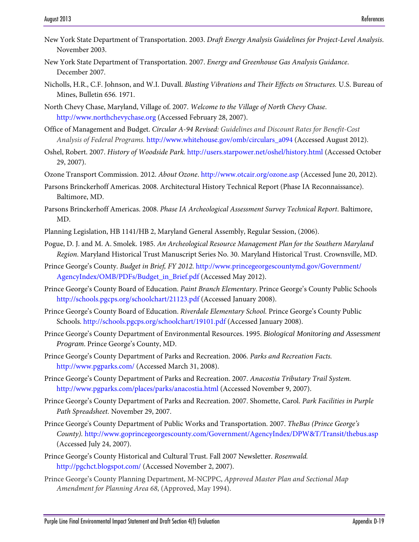- New York State Department of Transportation. 2003. *Draft Energy Analysis Guidelines for Project-Level Analysis*. November 2003.
- New York State Department of Transportation. 2007. *Energy and Greenhouse Gas Analysis Guidance*. December 2007.
- Nicholls, H.R., C.F. Johnson, and W.I. Duvall. *Blasting Vibrations and Their Effects on Structures.* U.S. Bureau of Mines, Bulletin 656*.* 1971.

North Chevy Chase, Maryland, Village of. 2007. *Welcome to the Village of North Chevy Chase*. http://www.northchevychase.org (Accessed February 28, 2007).

- Office of Management and Budget. *Circular A-94 Revised: Guidelines and Discount Rates for Benefit-Cost Analysis of Federal Programs.* [http://www.whitehouse.gov/omb/circulars\\_a094](http://www.whitehouse.gov/omb/circulars_a094) (Accessed August 2012).
- Oshel, Robert. 2007. *History of Woodside Park.* http://users.starpower.net/oshel/history.html (Accessed October 29, 2007).
- Ozone Transport Commission. 2012. *About Ozone*. http://www.otcair.org/ozone.asp (Accessed June 20, 2012).
- Parsons Brinckerhoff Americas. 2008. Architectural History Technical Report (Phase IA Reconnaissance). Baltimore, MD.
- Parsons Brinckerhoff Americas. 2008. *Phase IA Archeological Assessment Survey Technical Report*. Baltimore, MD.
- Planning Legislation, HB 1141/HB 2, Maryland General Assembly, Regular Session, (2006).
- Pogue, D. J. and M. A. Smolek. 1985. *An Archeological Resource Management Plan for the Southern Maryland Region*. Maryland Historical Trust Manuscript Series No. 30. Maryland Historical Trust. Crownsville, MD.
- Prince George's County. *Budget in Brief, FY 2012*. [http://www.princegeorgescountymd.gov/Government/](http://www.princegeorgescountymd.gov/Government/AgencyIndex/OMB/PDFs/Budget_in_Brief.pdf) [AgencyIndex/OMB/PDFs/Budget\\_in\\_Brief.pdf](http://www.princegeorgescountymd.gov/Government/AgencyIndex/OMB/PDFs/Budget_in_Brief.pdf) (Accessed May 2012).
- Prince George's County Board of Education. *Paint Branch Elementary*. Prince George's County Public Schools http://schools.pgcps.org/schoolchart/21123.pdf (Accessed January 2008).
- Prince George's County Board of Education. *Riverdale Elementary School.* Prince George's County Public Schools. http://schools.pgcps.org/schoolchart/19101.pdf (Accessed January 2008).
- Prince George's County Department of Environmental Resources. 1995. *Biological Monitoring and Assessment Program*. Prince George's County, MD.
- Prince George's County Department of Parks and Recreation. 2006. *Parks and Recreation Facts.*  http://www.pgparks.com/ (Accessed March 31, 2008).
- Prince George's County Department of Parks and Recreation. 2007. *Anacostia Tributary Trail System.*  http://www.pgparks.com/places/parks/anacostia.html (Accessed November 9, 2007).
- Prince George's County Department of Parks and Recreation. 2007. Shomette, Carol. *Park Facilities in Purple Path Spreadsheet.* November 29, 2007.
- Prince George's County Department of Public Works and Transportation. 2007. *TheBus (Prince George's County).* <http://www.goprincegeorgescounty.com/Government/AgencyIndex/DPW&T/Transit/thebus.asp> (Accessed July 24, 2007).
- Prince George's County Historical and Cultural Trust. Fall 2007 Newsletter. *Rosenwald.*  http://pgchct.blogspot.com/ (Accessed November 2, 2007).
- Prince George's County Planning Department, M-NCPPC, *Approved Master Plan and Sectional Map Amendment for Planning Area 68*, (Approved, May 1994).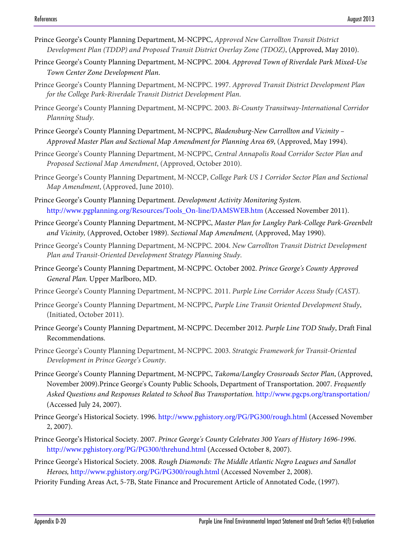- Prince George's County Planning Department, M-NCPPC, *Approved New Carrollton Transit District Development Plan (TDDP) and Proposed Transit District Overlay Zone (TDOZ)*, (Approved, May 2010).
- Prince George's County Planning Department, M-NCPPC. 2004. *Approved Town of Riverdale Park Mixed-Use Town Center Zone Development Plan*.
- Prince George's County Planning Department, M-NCPPC. 1997. *Approved Transit District Development Plan for the College Park-Riverdale Transit District Development Plan*.
- Prince George's County Planning Department, M-NCPPC. 2003. *Bi-County Transitway-International Corridor Planning Study*.
- Prince George's County Planning Department, M-NCPPC, *Bladensburg-New Carrollton and Vicinity Approved Master Plan and Sectional Map Amendment for Planning Area 69*, (Approved, May 1994).
- Prince George's County Planning Department, M-NCPPC, *Central Annapolis Road Corridor Sector Plan and Proposed Sectional Map Amendment*, (Approved, October 2010).
- Prince George's County Planning Department, M-NCCP, *College Park US 1 Corridor Sector Plan and Sectional Map Amendment*, (Approved, June 2010).
- Prince George's County Planning Department. *Development Activity Monitoring System.*  http://www.pgplanning.org/Resources/Tools\_On-line/DAMSWEB.htm (Accessed November 2011).
- Prince George's County Planning Department, M-NCPPC, *Master Plan for Langley Park-College Park-Greenbelt and Vicinity,* (Approved, October 1989). *Sectional Map Amendment,* (Approved, May 1990).
- Prince George's County Planning Department, M-NCPPC. 2004. *New Carrollton Transit District Development Plan and Transit-Oriented Development Strategy Planning Study*.
- Prince George's County Planning Department, M-NCPPC. October 2002. *Prince George's County Approved General Plan.* Upper Marlboro, MD.
- Prince George's County Planning Department, M-NCPPC. 2011. *Purple Line Corridor Access Study (CAST)*.
- Prince George's County Planning Department, M-NCPPC, *Purple Line Transit Oriented Development Study*, (Initiated, October 2011).
- Prince George's County Planning Department, M-NCPPC. December 2012. *Purple Line TOD Study*, Draft Final Recommendations.
- Prince George's County Planning Department, M-NCPPC. 2003. *Strategic Framework for Transit-Oriented Development in Prince George's County*.
- Prince George's County Planning Department, M-NCPPC, *Takoma/Langley Crossroads Sector Plan*, (Approved, November 2009).Prince George's County Public Schools, Department of Transportation. 2007. *Frequently Asked Questions and Responses Related to School Bus Transportation.* http://www.pgcps.org/transportation/ (Accessed July 24, 2007).
- Prince George's Historical Society. 1996. http://www.pghistory.org/PG/PG300/rough.html (Accessed November 2, 2007).
- Prince George's Historical Society. 2007. *Prince George's County Celebrates 300 Years of History 1696-1996*. <http://www.pghistory.org/PG/PG300/threhund.html>(Accessed October 8, 2007).
- Prince George's Historical Society. 2008. *Rough Diamonds: The Middle Atlantic Negro Leagues and Sandlot Heroes,* http://www.pghistory.org/PG/PG300/rough.html (Accessed November 2, 2008).
- Priority Funding Areas Act, 5-7B, State Finance and Procurement Article of Annotated Code, (1997).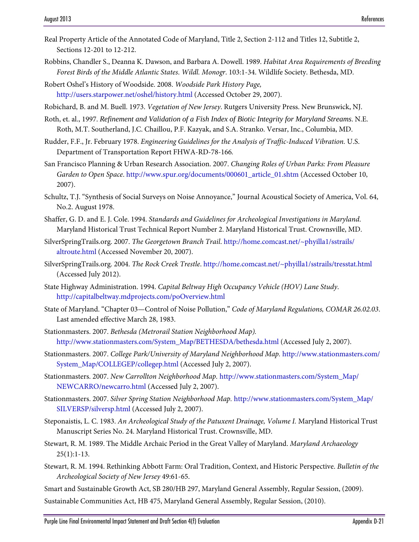- Real Property Article of the Annotated Code of Maryland, Title 2, Section 2-112 and Titles 12, Subtitle 2, Sections 12-201 to 12-212.
- Robbins, Chandler S., Deanna K. Dawson, and Barbara A. Dowell. 1989. *Habitat Area Requirements of Breeding Forest Birds of the Middle Atlantic States*. *Wildl. Monogr*. 103:1-34. Wildlife Society. Bethesda, MD.
- Robert Oshel's History of Woodside. 2008. *Woodside Park History Page,*  http://users.starpower.net/oshel/history.html (Accessed October 29, 2007).
- Robichard, B. and M. Buell. 1973. *Vegetation of New Jersey*. Rutgers University Press. New Brunswick, NJ.
- Roth, et. al., 1997. *Refinement and Validation of a Fish Index of Biotic Integrity for Maryland Streams*. N.E. Roth, M.T. Southerland, J.C. Chaillou, P.F. Kazyak, and S.A. Stranko. Versar, Inc., Columbia, MD.
- Rudder, F.F., Jr. February 1978. *Engineering Guidelines for the Analysis of Traffic-Induced Vibration.* U.S. Department of Transportation Report FHWA-RD-78-166*.*
- San Francisco Planning & Urban Research Association. 2007. *Changing Roles of Urban Parks: From Pleasure Garden to Open Space*. [http://www.spur.org/documents/000601\\_article\\_01.shtm](http://www.spur.org/documents/000601_article_01.shtm) (Accessed October 10, 2007).
- Schultz, T.J. "Synthesis of Social Surveys on Noise Annoyance," Journal Acoustical Society of America, Vol. 64, No.2. August 1978.
- Shaffer, G. D. and E. J. Cole. 1994. *Standards and Guidelines for Archeological Investigations in Maryland*. Maryland Historical Trust Technical Report Number 2. Maryland Historical Trust. Crownsville, MD.
- SilverSpringTrails.org. 2007. *The Georgetown Branch Trail*. http://home.comcast.net/~phyilla1/sstrails/ altroute.html (Accessed November 20, 2007).
- SilverSpringTrails.org. 2004. *The Rock Creek Trestle*.<http://home.comcast.net/~phyilla1/sstrails/tresstat.html> (Accessed July 2012).
- State Highway Administration. 1994. *Capital Beltway High Occupancy Vehicle (HOV) Lane Study*. http://capitalbeltway.mdprojects.com/poOverview.html
- State of Maryland. "Chapter 03—Control of Noise Pollution," *Code of Maryland Regulations, COMAR 26.02.03*. Last amended effective March 28, 1983.
- Stationmasters. 2007. *Bethesda (Metrorail Station Neighborhood Map).*  http://www.stationmasters.com/System\_Map/BETHESDA/bethesda.html (Accessed July 2, 2007).
- Stationmasters. 2007. *College Park/University of Maryland Neighborhood Map.* http://www.stationmasters.com/ System\_Map/COLLEGEP/collegep.html (Accessed July 2, 2007).
- Stationmasters. 2007. *New Carrollton Neighborhood Map.* http://www.stationmasters.com/System\_Map/ NEWCARRO/newcarro.html (Accessed July 2, 2007).
- Stationmasters. 2007. *Silver Spring Station Neighborhood Map.* http://www.stationmasters.com/System\_Map/ SILVERSP/silversp.html (Accessed July 2, 2007).
- Steponaistis, L. C. 1983. *An Archeological Study of the Patuxent Drainage, Volume I.* Maryland Historical Trust Manuscript Series No. 24. Maryland Historical Trust. Crownsville, MD.
- Stewart, R. M. 1989. The Middle Archaic Period in the Great Valley of Maryland. *Maryland Archaeology*   $25(1):1-13.$
- Stewart, R. M. 1994. Rethinking Abbott Farm: Oral Tradition, Context, and Historic Perspective. *Bulletin of the Archeological Society of New Jersey* 49:61-65.
- Smart and Sustainable Growth Act, SB 280/HB 297, Maryland General Assembly, Regular Session, (2009).
- Sustainable Communities Act, HB 475, Maryland General Assembly, Regular Session, (2010).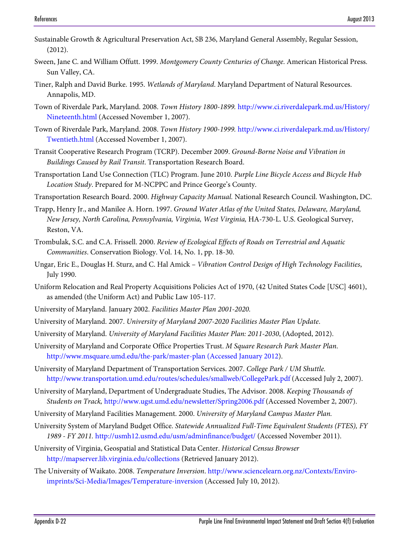- Sustainable Growth & Agricultural Preservation Act, SB 236, Maryland General Assembly, Regular Session, (2012).
- Sween, Jane C. and William Offutt. 1999. *Montgomery County Centuries of Change*. American Historical Press. Sun Valley, CA.
- Tiner, Ralph and David Burke. 1995. *Wetlands of Maryland*. Maryland Department of Natural Resources. Annapolis, MD.
- Town of Riverdale Park, Maryland. 2008. *Town History 1800-1899.* http://www.ci.riverdalepark.md.us/History/ Nineteenth.html (Accessed November 1, 2007).
- Town of Riverdale Park, Maryland. 2008. *Town History 1900-1999.* http://www.ci.riverdalepark.md.us/History/ Twentieth.html (Accessed November 1, 2007).
- Transit Cooperative Research Program (TCRP). December 2009. *Ground-Borne Noise and Vibration in Buildings Caused by Rail Transit*. Transportation Research Board.
- Transportation Land Use Connection (TLC) Program. June 2010. *Purple Line Bicycle Access and Bicycle Hub Location Study*. Prepared for M-NCPPC and Prince George's County.
- Transportation Research Board. 2000. *Highway Capacity Manual.* National Research Council. Washington, DC.
- Trapp, Henry Jr., and Manilee A. Horn. 1997. *Ground Water Atlas of the United States, Delaware, Maryland, New Jersey, North Carolina, Pennsylvania, Virginia, West Virginia,* HA-730-L. U.S. Geological Survey, Reston, VA.
- Trombulak, S.C. and C.A. Frissell. 2000. *Review of Ecological Effects of Roads on Terrestrial and Aquatic Communities*. Conservation Biology. Vol. 14, No. 1, pp. 18-30.
- Ungar, Eric E., Douglas H. Sturz, and C. Hal Amick *Vibration Control Design of High Technology Facilities*, July 1990.
- Uniform Relocation and Real Property Acquisitions Policies Act of 1970, (42 United States Code [USC] 4601), as amended (the Uniform Act) and Public Law 105-117.
- University of Maryland. January 2002. *Facilities Master Plan 2001-2020.*
- University of Maryland. 2007. *University of Maryland 2007-2020 Facilities Master Plan Update*.
- University of Maryland. *University of Maryland Facilities Master Plan: 2011-2030*, (Adopted, 2012).
- University of Maryland and Corporate Office Properties Trust. *M Square Research Park Master Plan*. [http://www.msquare.umd.edu/the-park/master-plan \(Accessed January 2012\)](http://www.msquare.umd.edu/the-park/master-plan%20(Accessed%20January%202012).
- University of Maryland Department of Transportation Services. 2007. *College Park / UM Shuttle.*  http://www.transportation.umd.edu/routes/schedules/smallweb/CollegePark.pdf (Accessed July 2, 2007).
- University of Maryland, Department of Undergraduate Studies, The Advisor. 2008. *Keeping Thousands of Students on Track,* http://www.ugst.umd.edu/newsletter/Spring2006.pdf (Accessed November 2, 2007).
- University of Maryland Facilities Management. 2000. *University of Maryland Campus Master Plan.*
- University System of Maryland Budget Office. *Statewide Annualized Full-Time Equivalent Students (FTES), FY 1989 - FY 2011.* <http://usmh12.usmd.edu/usm/adminfinance/budget/> (Accessed November 2011).
- University of Virginia, Geospatial and Statistical Data Center. *Historical Census Browser* <http://mapserver.lib.virginia.edu/collections>(Retrieved January 2012).
- The University of Waikato. 2008. *Temperature Inversion*. [http://www.sciencelearn.org.nz/Contexts/Enviro](http://www.sciencelearn.org.nz/Contexts/Enviro-imprints/Sci-Media/Images/Temperature-inversion)[imprints/Sci-Media/Images/Temperature-inversion](http://www.sciencelearn.org.nz/Contexts/Enviro-imprints/Sci-Media/Images/Temperature-inversion) (Accessed July 10, 2012).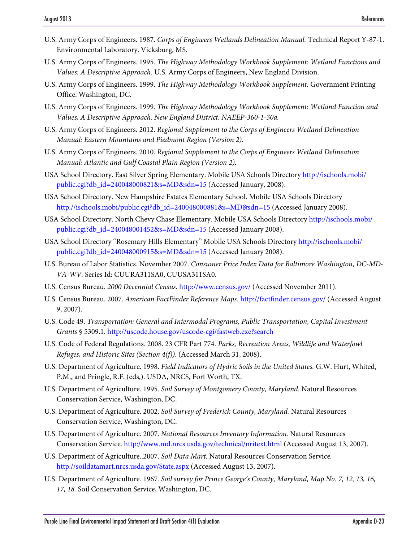- U.S. Army Corps of Engineers. 1987. *Corps of Engineers Wetlands Delineation Manual.* Technical Report Y-87-1. Environmental Laboratory. Vicksburg, MS.
- U.S. Army Corps of Engineers. 1995. *The Highway Methodology Workbook Supplement: Wetland Functions and Values: A Descriptive Approach.* U.S. Army Corps of Engineers, New England Division.
- U.S. Army Corps of Engineers. 1999. *The Highway Methodology Workbook Supplement.* Government Printing Office. Washington, DC.
- U.S. Army Corps of Engineers. 1999. *The Highway Methodology Workbook Supplement: Wetland Function and Values, A Descriptive Approach. New England District. NAEEP-360-1-30a.*
- U.S. Army Corps of Engineers. 2012. *Regional Supplement to the Corps of Engineers Wetland Delineation Manual: Eastern Mountains and Piedmont Region (Version 2).*
- U.S. Army Corps of Engineers. 2010. *Regional Supplement to the Corps of Engineers Wetland Delineation Manual: Atlantic and Gulf Coastal Plain Region (Version 2).*
- USA School Directory. East Silver Spring Elementary. Mobile USA Schools Directory http://ischools.mobi/ public.cgi?db\_id=240048000821&s=MD&sdn=15 (Accessed January, 2008).
- USA School Directory. New Hampshire Estates Elementary School. Mobile USA Schools Directory http://ischools.mobi/public.cgi?db\_id=240048000881&s=MD&sdn=15 (Accessed January 2008).
- USA School Directory. North Chevy Chase Elementary. Mobile USA Schools Directory http://ischools.mobi/ public.cgi?db\_id=240048001452&s=MD&sdn=15 (Accessed January 2008).
- USA School Directory "Rosemary Hills Elementary" Mobile USA Schools Directory http://ischools.mobi/ public.cgi?db\_id=240048000915&s=MD&sdn=15 (Accessed January 2008).
- U.S. Bureau of Labor Statistics. November 2007. *Consumer Price Index Data for Baltimore Washington, DC-MD-VA-WV.* Series Id: CUURA311SA0, CUUSA311SA0.
- U.S. Census Bureau. *2000 Decennial Census*. [http://www.census.gov/ \(](http://www.census.gov/)Accessed November 2011).
- U.S. Census Bureau. 2007. *American FactFinder Reference Maps.* http://factfinder.census.gov/ (Accessed August 9, 2007).
- U.S. Code 49. *Transportation: General and Intermodal Programs, Public Transportation, Capital Investment Grants* § 5309.1. http://uscode.house.gov/uscode-cgi/fastweb.exe?search
- U.S. Code of Federal Regulations. 2008. 23 CFR Part 774. *Parks, Recreation Areas, Wildlife and Waterfowl Refuges, and Historic Sites (Section 4(f))*. (Accessed March 31, 2008).
- U.S. Department of Agriculture. 1998. *Field Indicators of Hydric Soils in the United States.* G.W. Hurt, Whited, P.M., and Pringle, R.F. (eds,). USDA, NRCS, Fort Worth, TX.
- U.S. Department of Agriculture. 1995. *Soil Survey of Montgomery County, Maryland.* Natural Resources Conservation Service, Washington, DC.
- U.S. Department of Agriculture. 2002. *Soil Survey of Frederick County, Maryland.* Natural Resources Conservation Service, Washington, DC.
- U.S. Department of Agriculture. 2007. *National Resources Inventory Information.* Natural Resources Conservation Service. http://www.md.nrcs.usda.gov/technical/nritext.html (Accessed August 13, 2007).
- U.S. Department of Agriculture..2007. *Soil Data Mart.* Natural Resources Conservation Service*.*  http://soildatamart.nrcs.usda.gov/State.aspx (Accessed August 13, 2007).
- U.S. Department of Agriculture. 1967. *Soil survey for Prince George's County, Maryland, Map No. 7, 12, 13, 16, 17, 18.* Soil Conservation Service, Washington, DC.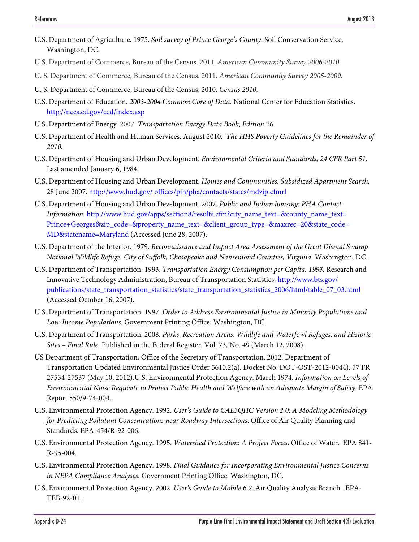- U.S. Department of Agriculture. 1975. *Soil survey of Prince George's County*. Soil Conservation Service, Washington, DC.
- U.S. Department of Commerce, Bureau of the Census. 2011. *American Community Survey 2006-2010*.
- U. S. Department of Commerce, Bureau of the Census. 2011. *American Community Survey 2005-2009*.
- U. S. Department of Commerce, Bureau of the Census. 2010. *Census 2010*.
- U.S. Department of Education. *2003-2004 Common Core of Data.* National Center for Education Statistics. http://nces.ed.gov/ccd/index.asp
- U.S. Department of Energy. 2007. *Transportation Energy Data Book*, *Edition 26*.
- U.S. Department of Health and Human Services. August 2010. *The HHS Poverty Guidelines for the Remainder of 2010.*
- U.S. Department of Housing and Urban Development. *Environmental Criteria and Standards, 24 CFR Part 51*. Last amended January 6, 1984.
- U.S. Department of Housing and Urban Development. *Homes and Communities: Subsidized Apartment Search.*  28 June 2007. http://www.hud.gov/ offices/pih/pha/contacts/states/mdzip.cfmrl
- U.S. Department of Housing and Urban Development. 2007. *Public and Indian housing: PHA Contact Information.* http://www.hud.gov/apps/section8/results.cfm?city\_name\_text=&county\_name\_text= Prince+Georges&zip\_code=&property\_name\_text=&client\_group\_type=&maxrec=20&state\_code= MD&statename=Maryland (Accessed June 28, 2007).
- U.S. Department of the Interior. 1979. *Reconnaissance and Impact Area Assessment of the Great Dismal Swamp National Wildlife Refuge, City of Suffolk, Chesapeake and Nansemond Counties, Virginia.* Washington, DC.
- U.S. Department of Transportation. 1993. *Transportation Energy Consumption per Capita: 1993.* Research and Innovative Technology Administration, Bureau of Transportation Statistics. http://www.bts.gov/ publications/state\_transportation\_statistics/state\_transportation\_statistics\_2006/html/table\_07\_03.html (Accessed October 16, 2007).
- U.S. Department of Transportation. 1997. *Order to Address Environmental Justice in Minority Populations and Low-Income Populations.* Government Printing Office. Washington, DC.
- U.S. Department of Transportation. 2008. *Parks, Recreation Areas, Wildlife and Waterfowl Refuges, and Historic Sites – Final Rule.* Published in the Federal Register. Vol. 73, No. 49 (March 12, 2008).
- US Department of Transportation, Office of the Secretary of Transportation. 2012. Department of Transportation Updated Environmental Justice Order 5610.2(a). Docket No. DOT-OST-2012-0044). 77 FR 27534-27537 (May 10, 2012).U.S. Environmental Protection Agency. March 1974. *Information on Levels of Environmental Noise Requisite to Protect Public Health and Welfare with an Adequate Margin of Safety.* EPA Report 550/9-74-004.
- U.S. Environmental Protection Agency. 1992. *User's Guide to CAL3QHC Version 2.0: A Modeling Methodology for Predicting Pollutant Concentrations near Roadway Intersections*. Office of Air Quality Planning and Standards. EPA-454/R-92-006.
- U.S. Environmental Protection Agency. 1995. *Watershed Protection: A Project Focus*. Office of Water. EPA 841- R-95-004.
- U.S. Environmental Protection Agency. 1998. *Final Guidance for Incorporating Environmental Justice Concerns in NEPA Compliance Analyses*. Government Printing Office. Washington, DC.
- U.S. Environmental Protection Agency. 2002. *User's Guide to Mobile 6.2.* Air Quality Analysis Branch. EPA-TEB-92-01.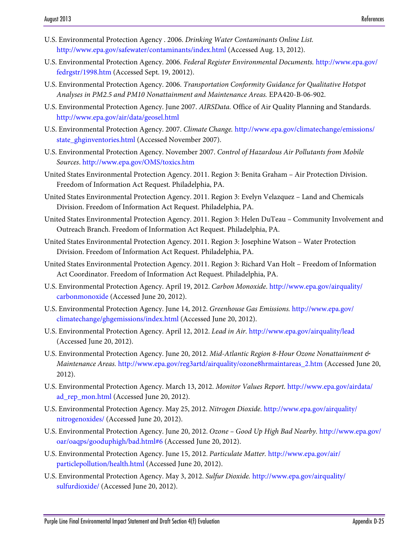- U.S. Environmental Protection Agency . 2006. *Drinking Water Contaminants Online List.*  http://www.epa.gov/safewater/contaminants/index.html (Accessed Aug. 13, 2012).
- U.S. Environmental Protection Agency. 2006. *Federal Register Environmental Documents.* http://www.epa.gov/ fedrgstr/1998.htm (Accessed Sept. 19, 20012).
- U.S. Environmental Protection Agency. 2006. *Transportation Conformity Guidance for Qualitative Hotspot Analyses in PM2.5 and PM10 Nonattainment and Maintenance Areas.* EPA420-B-06-902.
- U.S. Environmental Protection Agency. June 2007. *AIRSData.* Office of Air Quality Planning and Standards. [http://www.epa.gov/air/data/geosel.html](http://www.epa.gov/air/data/geosel.html.%20June%202007)
- U.S. Environmental Protection Agency. 2007. *Climate Change.* [http://www.epa.gov/climatechange/emissions/](http://www.epa.gov/climatechange/emissions/state_ghginventories.html) [state\\_ghginventories.html](http://www.epa.gov/climatechange/emissions/state_ghginventories.html) (Accessed November 2007).
- U.S. Environmental Protection Agency. November 2007. *Control of Hazardous Air Pollutants from Mobile Sources*. http://www.epa.gov/OMS/toxics.htm
- United States Environmental Protection Agency. 2011. Region 3: Benita Graham Air Protection Division. Freedom of Information Act Request. Philadelphia, PA.
- United States Environmental Protection Agency. 2011. Region 3: Evelyn Velazquez Land and Chemicals Division. Freedom of Information Act Request. Philadelphia, PA.
- United States Environmental Protection Agency. 2011. Region 3: Helen DuTeau Community Involvement and Outreach Branch. Freedom of Information Act Request. Philadelphia, PA.
- United States Environmental Protection Agency. 2011. Region 3: Josephine Watson Water Protection Division. Freedom of Information Act Request. Philadelphia, PA.
- United States Environmental Protection Agency. 2011. Region 3: Richard Van Holt Freedom of Information Act Coordinator. Freedom of Information Act Request. Philadelphia, PA.
- U.S. Environmental Protection Agency. April 19, 2012. *Carbon Monoxide*. http://www.epa.gov/airquality/ carbonmonoxide (Accessed June 20, 2012).
- U.S. Environmental Protection Agency. June 14, 2012. *Greenhouse Gas Emissions.* http://www.epa.gov/ climatechange/ghgemissions/index.html (Accessed June 20, 2012).
- U.S. Environmental Protection Agency. April 12, 2012. *Lead in Air.* http://www.epa.gov/airquality/lead (Accessed June 20, 2012).
- U.S. Environmental Protection Agency. June 20, 2012. *Mid-Atlantic Region 8-Hour Ozone Nonattainment & Maintenance Areas.* http://www.epa.gov/reg3artd/airquality/ozone8hrmaintareas\_2.htm (Accessed June 20, 2012).
- U.S. Environmental Protection Agency. March 13, 2012. *Monitor Values Report.* http://www.epa.gov/airdata/ ad\_rep\_mon.html (Accessed June 20, 2012).
- U.S. Environmental Protection Agency. May 25, 2012. *Nitrogen Dioxide.* http://www.epa.gov/airquality/ nitrogenoxides/ (Accessed June 20, 2012).
- U.S. Environmental Protection Agency. June 20, 2012. *Ozone Good Up High Bad Nearby.* http://www.epa.gov/ oar/oaqps/gooduphigh/bad.html#6 (Accessed June 20, 2012).
- U.S. Environmental Protection Agency. June 15, 2012. *Particulate Matter.* http://www.epa.gov/air/ particlepollution/health.html (Accessed June 20, 2012).
- U.S. Environmental Protection Agency. May 3, 2012. *Sulfur Dioxide.* http://www.epa.gov/airquality/ sulfurdioxide/ (Accessed June 20, 2012).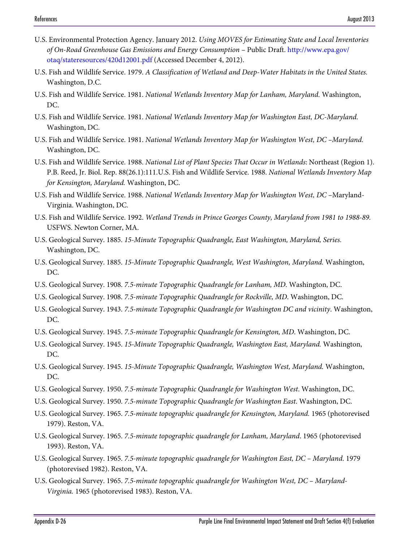- U.S. Environmental Protection Agency. January 2012. *Using MOVES for Estimating State and Local Inventories of On-Road Greenhouse Gas Emissions and Energy Consumption* – Public Draft. http://www.epa.gov/ otaq/stateresources/420d12001.pdf (Accessed December 4, 2012).
- U.S. Fish and Wildlife Service. 1979. *A Classification of Wetland and Deep-Water Habitats in the United States.*  Washington, D.C.
- U.S. Fish and Wildlife Service. 1981. *National Wetlands Inventory Map for Lanham, Maryland.* Washington, DC.
- U.S. Fish and Wildlife Service. 1981. *National Wetlands Inventory Map for Washington East, DC-Maryland.*  Washington, DC.
- U.S. Fish and Wildlife Service. 1981. *National Wetlands Inventory Map for Washington West, DC –Maryland.*  Washington, DC.
- U.S. Fish and Wildlife Service. 1988. *National List of Plant Species That Occur in Wetlands*: Northeast (Region 1). P.B. Reed, Jr. Biol. Rep. 88(26.1):111.U.S. Fish and Wildlife Service. 1988. *National Wetlands Inventory Map for Kensington, Maryland.* Washington, DC.
- U.S. Fish and Wildlife Service. 1988. *National Wetlands Inventory Map for Washington West, DC* –Maryland-Virginia. Washington, DC.
- U.S. Fish and Wildlife Service. 1992. *Wetland Trends in Prince Georges County, Maryland from 1981 to 1988-89.*  USFWS. Newton Corner, MA.
- U.S. Geological Survey. 1885. *15-Minute Topographic Quadrangle, East Washington, Maryland, Series.*  Washington, DC.
- U.S. Geological Survey. 1885. *15-Minute Topographic Quadrangle, West Washington, Maryland.* Washington, DC.
- U.S. Geological Survey. 1908. *7.5-minute Topographic Quadrangle for Lanham, MD*. Washington, DC.
- U.S. Geological Survey. 1908. *7.5-minute Topographic Quadrangle for Rockville, MD*. Washington, DC.
- U.S. Geological Survey. 1943. *7.5-minute Topographic Quadrangle for Washington DC and vicinity*. Washington, DC.
- U.S. Geological Survey. 1945. *7.5-minute Topographic Quadrangle for Kensington, MD*. Washington, DC.
- U.S. Geological Survey. 1945. *15-Minute Topographic Quadrangle, Washington East, Maryland.* Washington, DC.
- U.S. Geological Survey. 1945. *15-Minute Topographic Quadrangle, Washington West, Maryland.* Washington, DC.
- U.S. Geological Survey. 1950. *7.5-minute Topographic Quadrangle for Washington West*. Washington, DC.
- U.S. Geological Survey. 1950. *7.5-minute Topographic Quadrangle for Washington East*. Washington, DC.
- U.S. Geological Survey. 1965. *7.5-minute topographic quadrangle for Kensington, Maryland.* 1965 (photorevised 1979). Reston, VA.
- U.S. Geological Survey. 1965. *7.5-minute topographic quadrangle for Lanham, Maryland*. 1965 (photorevised 1993). Reston, VA.
- U.S. Geological Survey. 1965. *7.5-minute topographic quadrangle for Washington East, DC Maryland*. 1979 (photorevised 1982). Reston, VA.
- U.S. Geological Survey. 1965. *7.5-minute topographic quadrangle for Washington West, DC Maryland-Virginia.* 1965 (photorevised 1983). Reston, VA.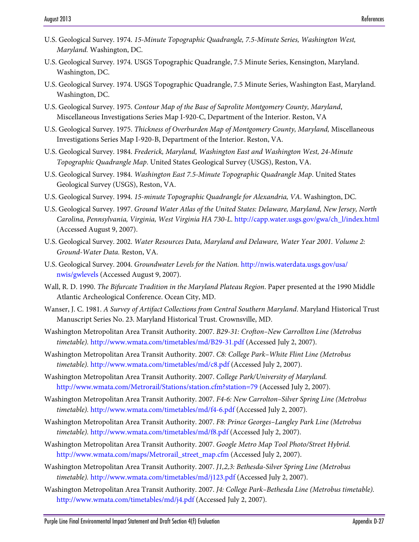- U.S. Geological Survey. 1974. *15-Minute Topographic Quadrangle, 7.5-Minute Series, Washington West, Maryland.* Washington, DC.
- U.S. Geological Survey. 1974. USGS Topographic Quadrangle, 7.5 Minute Series, Kensington, Maryland. Washington, DC.
- U.S. Geological Survey. 1974. USGS Topographic Quadrangle, 7.5 Minute Series, Washington East, Maryland. Washington, DC.
- U.S. Geological Survey. 1975. *Contour Map of the Base of Saprolite Montgomery County, Maryland*, Miscellaneous Investigations Series Map I-920-C, Department of the Interior. Reston, VA
- U.S. Geological Survey. 1975. *Thickness of Overburden Map of Montgomery County, Maryland,* Miscellaneous Investigations Series Map I-920-B, Department of the Interior. Reston, VA.
- U.S. Geological Survey. 1984. *Frederick, Maryland, Washington East and Washington West, 24-Minute Topographic Quadrangle Map*. United States Geological Survey (USGS), Reston, VA.
- U.S. Geological Survey. 1984. *Washington East 7.5-Minute Topographic Quadrangle Map*. United States Geological Survey (USGS), Reston, VA.
- U.S. Geological Survey. 1994. *15-minute Topographic Quadrangle for Alexandria, VA*. Washington, DC.
- U.S. Geological Survey. 1997. *Ground Water Atlas of the United States: Delaware, Maryland, New Jersey, North Carolina, Pennsylvania, Virginia, West Virginia HA 730-L*. http://capp.water.usgs.gov/gwa/ch\_l/index.html (Accessed August 9, 2007).
- U.S. Geological Survey. 2002. *Water Resources Data, Maryland and Delaware, Water Year 2001. Volume 2: Ground-Water Data.* Reston, VA.
- U.S. Geological Survey. 2004. *Groundwater Levels for the Nation.* [http://nwis.waterdata.usgs.gov/usa/](http://nwis.waterdata.usgs.gov/usa/nwis/gwlevels) [nwis/gwlevels](http://nwis.waterdata.usgs.gov/usa/nwis/gwlevels) (Accessed August 9, 2007).
- Wall, R. D. 1990. *The Bifurcate Tradition in the Maryland Plateau Region*. Paper presented at the 1990 Middle Atlantic Archeological Conference. Ocean City, MD.
- Wanser, J. C. 1981. *A Survey of Artifact Collections from Central Southern Maryland*. Maryland Historical Trust Manuscript Series No. 23. Maryland Historical Trust. Crownsville, MD.
- Washington Metropolitan Area Transit Authority. 2007. *B29-31: Crofton–New Carrollton Line (Metrobus timetable).* http://www.wmata.com/timetables/md/B29-31.pdf (Accessed July 2, 2007).
- Washington Metropolitan Area Transit Authority. 2007. *C8: College Park–White Flint Line (Metrobus timetable).* http://www.wmata.com/timetables/md/c8.pdf (Accessed July 2, 2007).
- Washington Metropolitan Area Transit Authority. 2007. *College Park/University of Maryland.*  http://www.wmata.com/Metrorail/Stations/station.cfm?station=79 (Accessed July 2, 2007).
- Washington Metropolitan Area Transit Authority. 2007. *F4-6: New Carrolton–Silver Spring Line (Metrobus timetable).* http://www.wmata.com/timetables/md/f4-6.pdf (Accessed July 2, 2007).
- Washington Metropolitan Area Transit Authority. 2007. *F8: Prince Georges–Langley Park Line (Metrobus timetable).* http://www.wmata.com/timetables/md/f8.pdf (Accessed July 2, 2007).
- Washington Metropolitan Area Transit Authority. 2007. *Google Metro Map Tool Photo/Street Hybrid.*  http://www.wmata.com/maps/Metrorail\_street\_map.cfm (Accessed July 2, 2007).
- Washington Metropolitan Area Transit Authority. 2007. *J1,2,3: Bethesda-Silver Spring Line (Metrobus timetable).* http://www.wmata.com/timetables/md/j123.pdf (Accessed July 2, 2007).
- Washington Metropolitan Area Transit Authority. 2007. *J4: College Park–Bethesda Line (Metrobus timetable).*  http://www.wmata.com/timetables/md/j4.pdf (Accessed July 2, 2007).